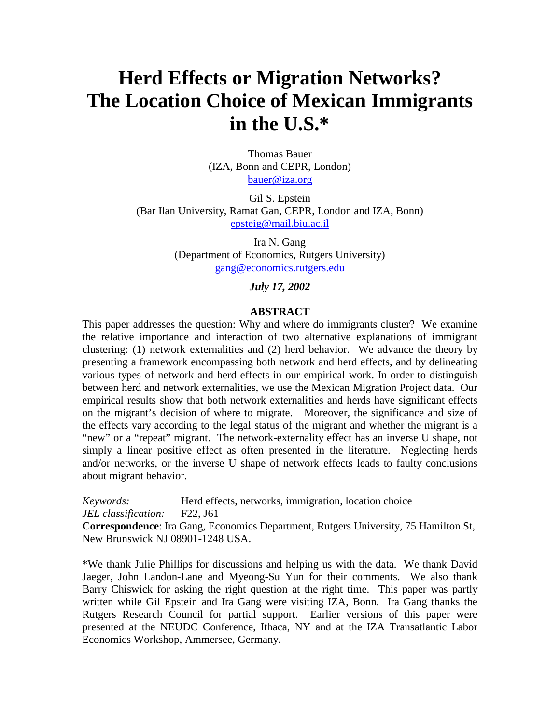# **Herd Effects or Migration Networks? The Location Choice of Mexican Immigrants in the U.S.\***

Thomas Bauer (IZA, Bonn and CEPR, London) bauer@iza.org

Gil S. Epstein (Bar Ilan University, Ramat Gan, CEPR, London and IZA, Bonn) epsteig@mail.biu.ac.il

> Ira N. Gang (Department of Economics, Rutgers University) gang@economics.rutgers.edu

> > *July 17, 2002*

### **ABSTRACT**

This paper addresses the question: Why and where do immigrants cluster? We examine the relative importance and interaction of two alternative explanations of immigrant clustering: (1) network externalities and (2) herd behavior. We advance the theory by presenting a framework encompassing both network and herd effects, and by delineating various types of network and herd effects in our empirical work. In order to distinguish between herd and network externalities, we use the Mexican Migration Project data. Our empirical results show that both network externalities and herds have significant effects on the migrant's decision of where to migrate. Moreover, the significance and size of the effects vary according to the legal status of the migrant and whether the migrant is a "new" or a "repeat" migrant. The network-externality effect has an inverse U shape, not simply a linear positive effect as often presented in the literature. Neglecting herds and/or networks, or the inverse U shape of network effects leads to faulty conclusions about migrant behavior.

*Keywords:* Herd effects, networks, immigration, location choice *JEL classification:* F22, J61

**Correspondence**: Ira Gang, Economics Department, Rutgers University, 75 Hamilton St, New Brunswick NJ 08901-1248 USA.

\*We thank Julie Phillips for discussions and helping us with the data. We thank David Jaeger, John Landon-Lane and Myeong-Su Yun for their comments. We also thank Barry Chiswick for asking the right question at the right time. This paper was partly written while Gil Epstein and Ira Gang were visiting IZA, Bonn. Ira Gang thanks the Rutgers Research Council for partial support. Earlier versions of this paper were presented at the NEUDC Conference, Ithaca, NY and at the IZA Transatlantic Labor Economics Workshop, Ammersee, Germany.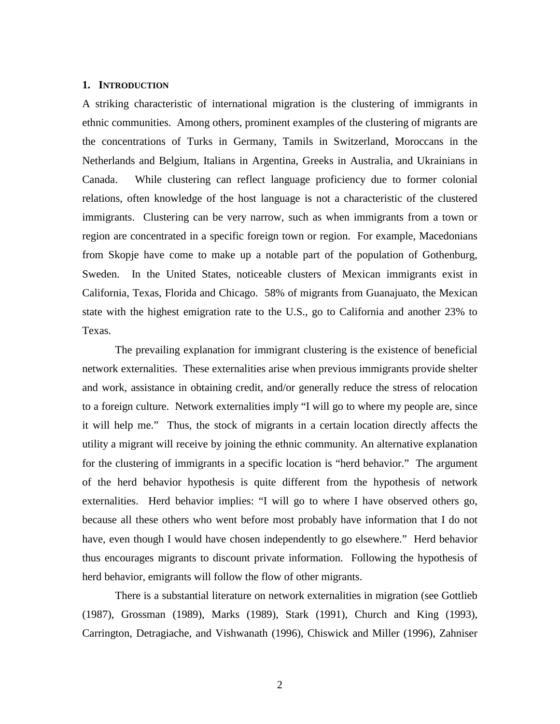### **1. INTRODUCTION**

A striking characteristic of international migration is the clustering of immigrants in ethnic communities. Among others, prominent examples of the clustering of migrants are the concentrations of Turks in Germany, Tamils in Switzerland, Moroccans in the Netherlands and Belgium, Italians in Argentina, Greeks in Australia, and Ukrainians in Canada. While clustering can reflect language proficiency due to former colonial relations, often knowledge of the host language is not a characteristic of the clustered immigrants. Clustering can be very narrow, such as when immigrants from a town or region are concentrated in a specific foreign town or region. For example, Macedonians from Skopje have come to make up a notable part of the population of Gothenburg, Sweden. In the United States, noticeable clusters of Mexican immigrants exist in California, Texas, Florida and Chicago. 58% of migrants from Guanajuato, the Mexican state with the highest emigration rate to the U.S., go to California and another 23% to Texas.

The prevailing explanation for immigrant clustering is the existence of beneficial network externalities. These externalities arise when previous immigrants provide shelter and work, assistance in obtaining credit, and/or generally reduce the stress of relocation to a foreign culture. Network externalities imply "I will go to where my people are, since it will help me." Thus, the stock of migrants in a certain location directly affects the utility a migrant will receive by joining the ethnic community. An alternative explanation for the clustering of immigrants in a specific location is "herd behavior." The argument of the herd behavior hypothesis is quite different from the hypothesis of network externalities. Herd behavior implies: "I will go to where I have observed others go, because all these others who went before most probably have information that I do not have, even though I would have chosen independently to go elsewhere." Herd behavior thus encourages migrants to discount private information. Following the hypothesis of herd behavior, emigrants will follow the flow of other migrants.

There is a substantial literature on network externalities in migration (see Gottlieb (1987), Grossman (1989), Marks (1989), Stark (1991), Church and King (1993), Carrington, Detragiache, and Vishwanath (1996), Chiswick and Miller (1996), Zahniser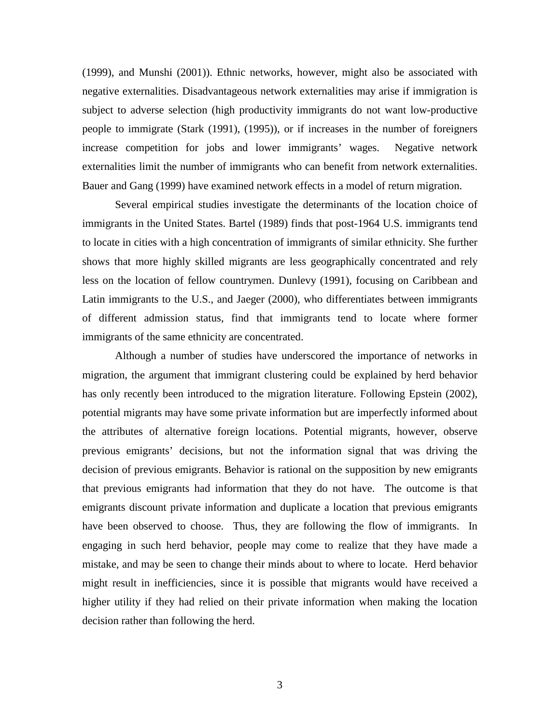(1999), and Munshi (2001)). Ethnic networks, however, might also be associated with negative externalities. Disadvantageous network externalities may arise if immigration is subject to adverse selection (high productivity immigrants do not want low-productive people to immigrate (Stark (1991), (1995)), or if increases in the number of foreigners increase competition for jobs and lower immigrants' wages. Negative network externalities limit the number of immigrants who can benefit from network externalities. Bauer and Gang (1999) have examined network effects in a model of return migration.

Several empirical studies investigate the determinants of the location choice of immigrants in the United States. Bartel (1989) finds that post-1964 U.S. immigrants tend to locate in cities with a high concentration of immigrants of similar ethnicity. She further shows that more highly skilled migrants are less geographically concentrated and rely less on the location of fellow countrymen. Dunlevy (1991), focusing on Caribbean and Latin immigrants to the U.S., and Jaeger (2000), who differentiates between immigrants of different admission status, find that immigrants tend to locate where former immigrants of the same ethnicity are concentrated.

Although a number of studies have underscored the importance of networks in migration, the argument that immigrant clustering could be explained by herd behavior has only recently been introduced to the migration literature. Following Epstein (2002), potential migrants may have some private information but are imperfectly informed about the attributes of alternative foreign locations. Potential migrants, however, observe previous emigrants' decisions, but not the information signal that was driving the decision of previous emigrants. Behavior is rational on the supposition by new emigrants that previous emigrants had information that they do not have. The outcome is that emigrants discount private information and duplicate a location that previous emigrants have been observed to choose. Thus, they are following the flow of immigrants. In engaging in such herd behavior, people may come to realize that they have made a mistake, and may be seen to change their minds about to where to locate. Herd behavior might result in inefficiencies, since it is possible that migrants would have received a higher utility if they had relied on their private information when making the location decision rather than following the herd.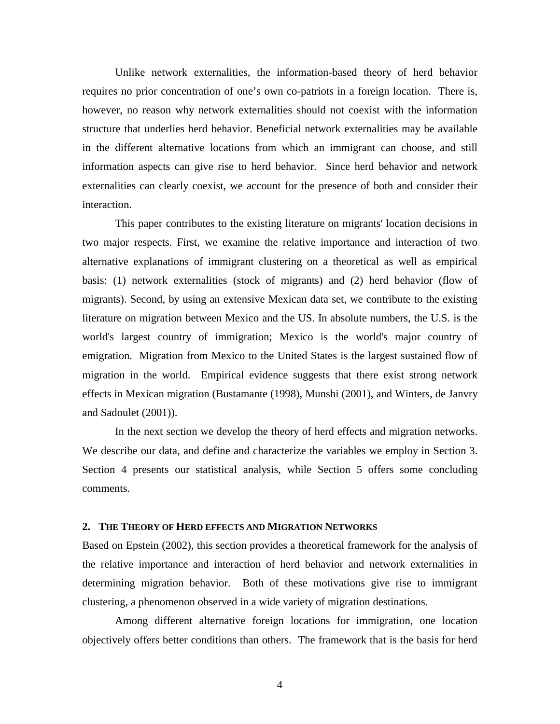Unlike network externalities, the information-based theory of herd behavior requires no prior concentration of one's own co-patriots in a foreign location. There is, however, no reason why network externalities should not coexist with the information structure that underlies herd behavior. Beneficial network externalities may be available in the different alternative locations from which an immigrant can choose, and still information aspects can give rise to herd behavior. Since herd behavior and network externalities can clearly coexist, we account for the presence of both and consider their interaction.

This paper contributes to the existing literature on migrants' location decisions in two major respects. First, we examine the relative importance and interaction of two alternative explanations of immigrant clustering on a theoretical as well as empirical basis: (1) network externalities (stock of migrants) and (2) herd behavior (flow of migrants). Second, by using an extensive Mexican data set, we contribute to the existing literature on migration between Mexico and the US. In absolute numbers, the U.S. is the world's largest country of immigration; Mexico is the world's major country of emigration. Migration from Mexico to the United States is the largest sustained flow of migration in the world. Empirical evidence suggests that there exist strong network effects in Mexican migration (Bustamante (1998), Munshi (2001), and Winters, de Janvry and Sadoulet (2001)).

In the next section we develop the theory of herd effects and migration networks. We describe our data, and define and characterize the variables we employ in Section 3. Section 4 presents our statistical analysis, while Section 5 offers some concluding comments.

### **2. THE THEORY OF HERD EFFECTS AND MIGRATION NETWORKS**

Based on Epstein (2002), this section provides a theoretical framework for the analysis of the relative importance and interaction of herd behavior and network externalities in determining migration behavior. Both of these motivations give rise to immigrant clustering, a phenomenon observed in a wide variety of migration destinations.

Among different alternative foreign locations for immigration, one location objectively offers better conditions than others. The framework that is the basis for herd

4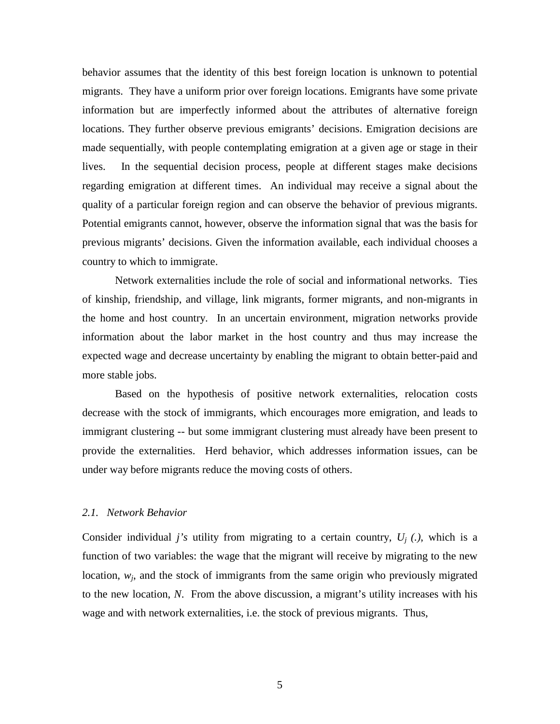behavior assumes that the identity of this best foreign location is unknown to potential migrants. They have a uniform prior over foreign locations. Emigrants have some private information but are imperfectly informed about the attributes of alternative foreign locations. They further observe previous emigrants' decisions. Emigration decisions are made sequentially, with people contemplating emigration at a given age or stage in their lives. In the sequential decision process, people at different stages make decisions regarding emigration at different times. An individual may receive a signal about the quality of a particular foreign region and can observe the behavior of previous migrants. Potential emigrants cannot, however, observe the information signal that was the basis for previous migrants' decisions. Given the information available, each individual chooses a country to which to immigrate.

Network externalities include the role of social and informational networks. Ties of kinship, friendship, and village, link migrants, former migrants, and non-migrants in the home and host country. In an uncertain environment, migration networks provide information about the labor market in the host country and thus may increase the expected wage and decrease uncertainty by enabling the migrant to obtain better-paid and more stable jobs.

Based on the hypothesis of positive network externalities, relocation costs decrease with the stock of immigrants, which encourages more emigration, and leads to immigrant clustering -- but some immigrant clustering must already have been present to provide the externalities. Herd behavior, which addresses information issues, can be under way before migrants reduce the moving costs of others.

### *2.1. Network Behavior*

Consider individual *j's* utility from migrating to a certain country,  $U_i$  (.), which is a function of two variables: the wage that the migrant will receive by migrating to the new location,  $w_i$ , and the stock of immigrants from the same origin who previously migrated to the new location, *N*. From the above discussion, a migrant's utility increases with his wage and with network externalities, i.e. the stock of previous migrants. Thus,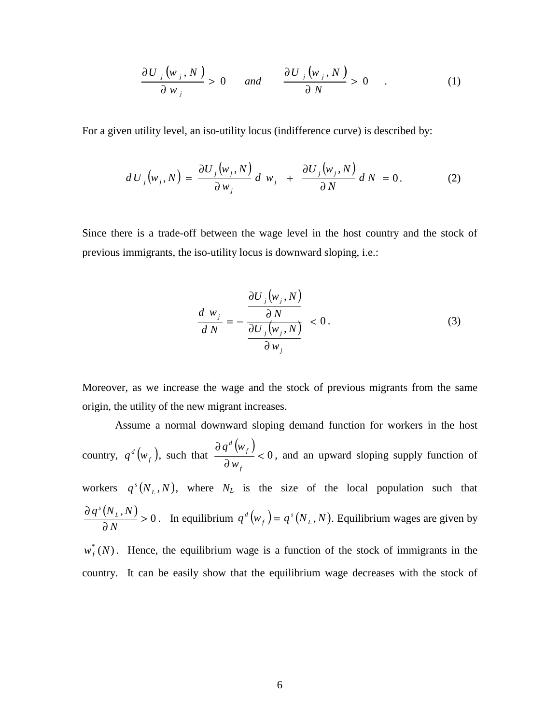$$
\frac{\partial U_j(w_j, N)}{\partial w_j} > 0 \quad \text{and} \quad \frac{\partial U_j(w_j, N)}{\partial N} > 0 \quad . \tag{1}
$$

For a given utility level, an iso-utility locus (indifference curve) is described by:

$$
dU_j(w_j, N) = \frac{\partial U_j(w_j, N)}{\partial w_j} d w_j + \frac{\partial U_j(w_j, N)}{\partial N} d N = 0.
$$
 (2)

Since there is a trade-off between the wage level in the host country and the stock of previous immigrants, the iso-utility locus is downward sloping, i.e.:

$$
\frac{d w_j}{d N} = -\frac{\frac{\partial U_j(w_j, N)}{\partial N}}{\frac{\partial U_j(w_j, N)}{\partial w_j}} < 0.
$$
\n(3)

Moreover, as we increase the wage and the stock of previous migrants from the same origin, the utility of the new migrant increases.

 Assume a normal downward sloping demand function for workers in the host country,  $q^d(w_f)$ , such that  $\frac{\partial q^d(w_f)}{\partial w_f} < 0$ ∂ ∂ *f f d w q w* , and an upward sloping supply function of workers  $q^{s}(N_{L}, N)$ , where  $N_{L}$  is the size of the local population such that  $\frac{(N_L, N)}{N} > 0$ ∂ ∂ *N*  $q^{s}(N_{L}, N) > 0$ . In equilibrium  $q^{d}(w_{f}) = q^{s}(N_{L}, N)$ . Equilibrium wages are given by  $w_f^*(N)$ . Hence, the equilibrium wage is a function of the stock of immigrants in the

country. It can be easily show that the equilibrium wage decreases with the stock of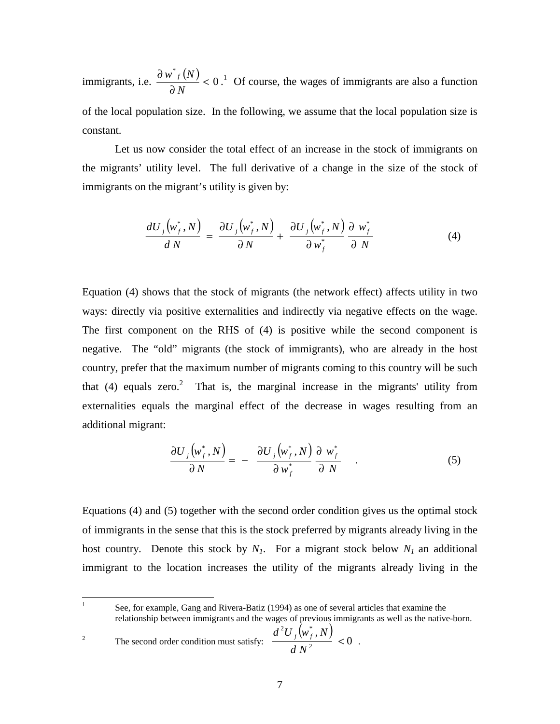immigrants, i.e.  $\frac{\partial w^*_{f}(N)}{\partial x^*} < 0$  $\lt$ ∂ ∂ *N*  $\frac{w^* f(N)}{2M}$  < 0.<sup>1</sup> Of course, the wages of immigrants are also a function of the local population size. In the following, we assume that the local population size is constant.

Let us now consider the total effect of an increase in the stock of immigrants on the migrants' utility level. The full derivative of a change in the size of the stock of immigrants on the migrant's utility is given by:

$$
\frac{dU_j(w_f^*,N)}{dN} = \frac{\partial U_j(w_f^*,N)}{\partial N} + \frac{\partial U_j(w_f^*,N)}{\partial w_f^*} \frac{\partial w_f^*}{\partial N}
$$
(4)

Equation (4) shows that the stock of migrants (the network effect) affects utility in two ways: directly via positive externalities and indirectly via negative effects on the wage. The first component on the RHS of (4) is positive while the second component is negative. The "old" migrants (the stock of immigrants), who are already in the host country, prefer that the maximum number of migrants coming to this country will be such that (4) equals zero.<sup>2</sup> That is, the marginal increase in the migrants' utility from externalities equals the marginal effect of the decrease in wages resulting from an additional migrant:

$$
\frac{\partial U_j(w_f^*, N)}{\partial N} = - \frac{\partial U_j(w_f^*, N)}{\partial w_f^*} \frac{\partial w_f^*}{\partial N} .
$$
 (5)

Equations (4) and (5) together with the second order condition gives us the optimal stock of immigrants in the sense that this is the stock preferred by migrants already living in the host country. Denote this stock by  $N_1$ . For a migrant stock below  $N_1$  an additional immigrant to the location increases the utility of the migrants already living in the

 $\frac{1}{1}$  See, for example, Gang and Rivera-Batiz (1994) as one of several articles that examine the relationship between immigrants and the wages of previous immigrants as well as the native-born.

2 The second order condition must satisfy:  $\frac{d^2U_j(w_f^*,N)}{dN^2}<0$  $2 \mathbf{I}^{\dagger}$   $\left( \ldots \right)$  $\lt$ *d N*  $\frac{d^2U_j(w_f^*,N)}{dz^2}$  < 0.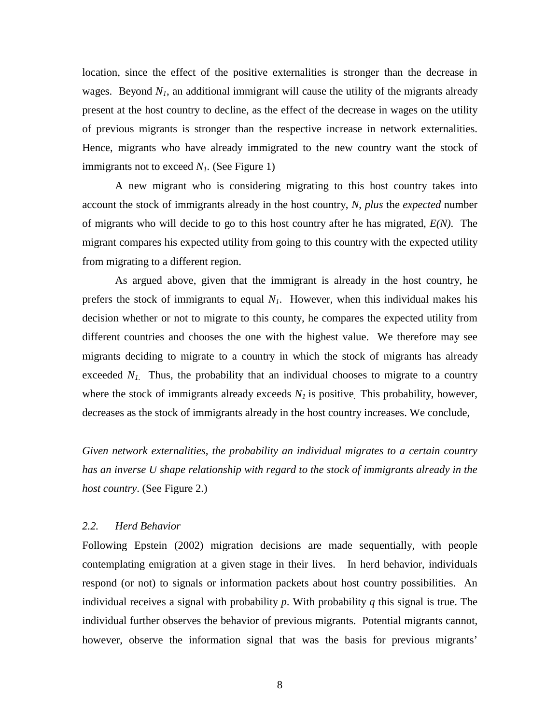location, since the effect of the positive externalities is stronger than the decrease in wages. Beyond  $N_l$ , an additional immigrant will cause the utility of the migrants already present at the host country to decline, as the effect of the decrease in wages on the utility of previous migrants is stronger than the respective increase in network externalities. Hence, migrants who have already immigrated to the new country want the stock of immigrants not to exceed *N<sub>1</sub>*. (See Figure 1)

 A new migrant who is considering migrating to this host country takes into account the stock of immigrants already in the host country, *N*, *plus* the *expected* number of migrants who will decide to go to this host country after he has migrated, *E(N)*. The migrant compares his expected utility from going to this country with the expected utility from migrating to a different region.

 As argued above, given that the immigrant is already in the host country, he prefers the stock of immigrants to equal  $N_l$ . However, when this individual makes his decision whether or not to migrate to this county, he compares the expected utility from different countries and chooses the one with the highest value. We therefore may see migrants deciding to migrate to a country in which the stock of migrants has already exceeded  $N_I$ . Thus, the probability that an individual chooses to migrate to a country where the stock of immigrants already exceeds  $N_l$  is positive. This probability, however, decreases as the stock of immigrants already in the host country increases. We conclude,

*Given network externalities, the probability an individual migrates to a certain country has an inverse U shape relationship with regard to the stock of immigrants already in the host country*. (See Figure 2.)

# *2.2. Herd Behavior*

Following Epstein (2002) migration decisions are made sequentially, with people contemplating emigration at a given stage in their lives. In herd behavior, individuals respond (or not) to signals or information packets about host country possibilities. An individual receives a signal with probability *p*. With probability *q* this signal is true. The individual further observes the behavior of previous migrants. Potential migrants cannot, however, observe the information signal that was the basis for previous migrants'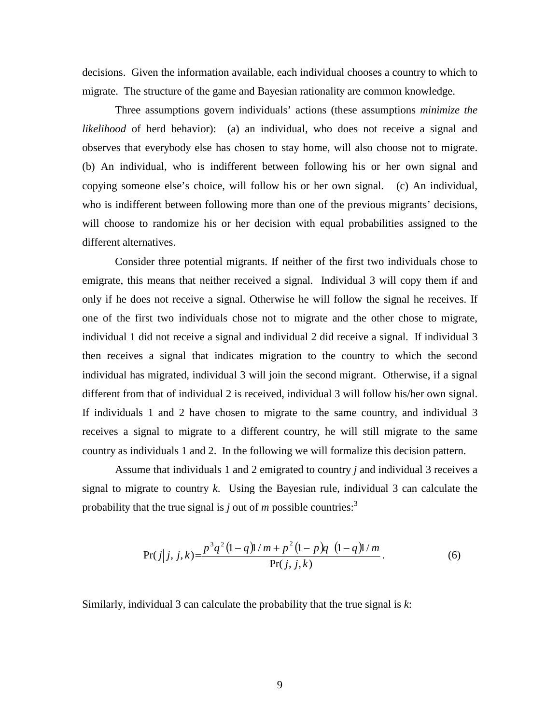decisions. Given the information available, each individual chooses a country to which to migrate. The structure of the game and Bayesian rationality are common knowledge.

Three assumptions govern individuals' actions (these assumptions *minimize the likelihood* of herd behavior): (a) an individual, who does not receive a signal and observes that everybody else has chosen to stay home, will also choose not to migrate. (b) An individual, who is indifferent between following his or her own signal and copying someone else's choice, will follow his or her own signal. (c) An individual, who is indifferent between following more than one of the previous migrants' decisions, will choose to randomize his or her decision with equal probabilities assigned to the different alternatives.

Consider three potential migrants. If neither of the first two individuals chose to emigrate, this means that neither received a signal. Individual 3 will copy them if and only if he does not receive a signal. Otherwise he will follow the signal he receives. If one of the first two individuals chose not to migrate and the other chose to migrate, individual 1 did not receive a signal and individual 2 did receive a signal. If individual 3 then receives a signal that indicates migration to the country to which the second individual has migrated, individual 3 will join the second migrant. Otherwise, if a signal different from that of individual 2 is received, individual 3 will follow his/her own signal. If individuals 1 and 2 have chosen to migrate to the same country, and individual 3 receives a signal to migrate to a different country, he will still migrate to the same country as individuals 1 and 2. In the following we will formalize this decision pattern.

 Assume that individuals 1 and 2 emigrated to country *j* and individual 3 receives a signal to migrate to country *k*. Using the Bayesian rule, individual 3 can calculate the probability that the true signal is  $j$  out of  $m$  possible countries:<sup>3</sup>

$$
Pr(j|j, j, k) = \frac{p^{3}q^{2}(1-q)1/m + p^{2}(1-p)q(1-q)1/m}{Pr(j, j, k)}.
$$
 (6)

Similarly, individual 3 can calculate the probability that the true signal is *k*: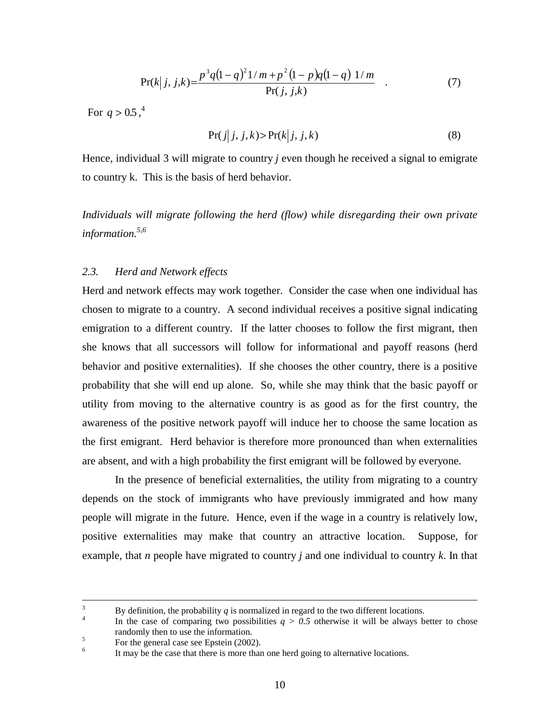$$
Pr(k|j, j, k) = \frac{p^{3}q(1-q)^{2}1/m + p^{2}(1-p)q(1-q)1/m}{Pr(j, j, k)}
$$
 (7)

For  $q > 0.5$ ,  $^{4}$ 

$$
Pr(j|j, j, k) > Pr(k|j, j, k)
$$
\n(8)

Hence, individual 3 will migrate to country *j* even though he received a signal to emigrate to country k. This is the basis of herd behavior.

*Individuals will migrate following the herd (flow) while disregarding their own private information.5,6* 

### *2.3. Herd and Network effects*

Herd and network effects may work together. Consider the case when one individual has chosen to migrate to a country. A second individual receives a positive signal indicating emigration to a different country. If the latter chooses to follow the first migrant, then she knows that all successors will follow for informational and payoff reasons (herd behavior and positive externalities). If she chooses the other country, there is a positive probability that she will end up alone. So, while she may think that the basic payoff or utility from moving to the alternative country is as good as for the first country, the awareness of the positive network payoff will induce her to choose the same location as the first emigrant. Herd behavior is therefore more pronounced than when externalities are absent, and with a high probability the first emigrant will be followed by everyone.

In the presence of beneficial externalities, the utility from migrating to a country depends on the stock of immigrants who have previously immigrated and how many people will migrate in the future. Hence, even if the wage in a country is relatively low, positive externalities may make that country an attractive location. Suppose, for example, that *n* people have migrated to country *j* and one individual to country *k*. In that

 $\frac{1}{3}$ By definition, the probability *q* is normalized in regard to the two different locations.

In the case of comparing two possibilities  $q > 0.5$  otherwise it will be always better to chose randomly then to use the information.<br>
See the general age are Enstein (2002)

For the general case see Epstein (2002).

<sup>6</sup> It may be the case that there is more than one herd going to alternative locations.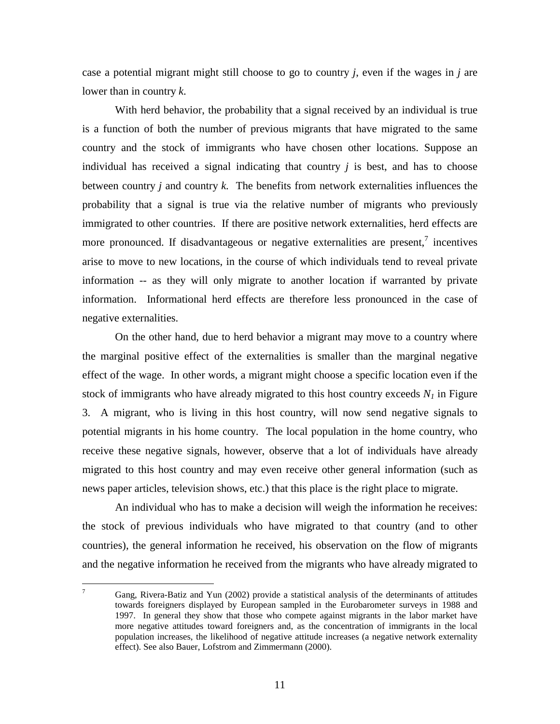case a potential migrant might still choose to go to country *j*, even if the wages in *j* are lower than in country *k*.

With herd behavior, the probability that a signal received by an individual is true is a function of both the number of previous migrants that have migrated to the same country and the stock of immigrants who have chosen other locations. Suppose an individual has received a signal indicating that country  $j$  is best, and has to choose between country *j* and country *k.* The benefits from network externalities influences the probability that a signal is true via the relative number of migrants who previously immigrated to other countries. If there are positive network externalities, herd effects are more pronounced. If disadvantageous or negative externalities are present, $\frac{7}{1}$  incentives arise to move to new locations, in the course of which individuals tend to reveal private information -- as they will only migrate to another location if warranted by private information. Informational herd effects are therefore less pronounced in the case of negative externalities.

On the other hand, due to herd behavior a migrant may move to a country where the marginal positive effect of the externalities is smaller than the marginal negative effect of the wage. In other words, a migrant might choose a specific location even if the stock of immigrants who have already migrated to this host country exceeds  $N<sub>1</sub>$  in Figure 3. A migrant, who is living in this host country, will now send negative signals to potential migrants in his home country. The local population in the home country, who receive these negative signals, however, observe that a lot of individuals have already migrated to this host country and may even receive other general information (such as news paper articles, television shows, etc.) that this place is the right place to migrate.

An individual who has to make a decision will weigh the information he receives: the stock of previous individuals who have migrated to that country (and to other countries), the general information he received, his observation on the flow of migrants and the negative information he received from the migrants who have already migrated to

<sup>—&</sup>lt;br>7 Gang, Rivera-Batiz and Yun (2002) provide a statistical analysis of the determinants of attitudes towards foreigners displayed by European sampled in the Eurobarometer surveys in 1988 and 1997. In general they show that those who compete against migrants in the labor market have more negative attitudes toward foreigners and, as the concentration of immigrants in the local population increases, the likelihood of negative attitude increases (a negative network externality effect). See also Bauer, Lofstrom and Zimmermann (2000).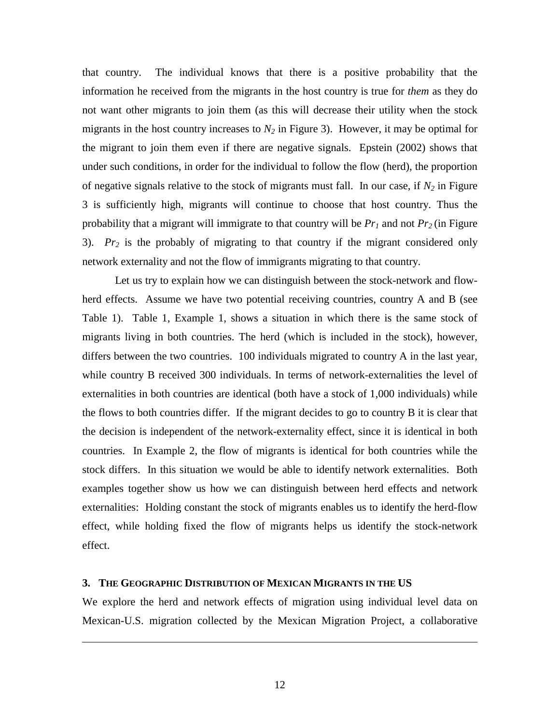that country. The individual knows that there is a positive probability that the information he received from the migrants in the host country is true for *them* as they do not want other migrants to join them (as this will decrease their utility when the stock migrants in the host country increases to  $N_2$  in Figure 3). However, it may be optimal for the migrant to join them even if there are negative signals. Epstein (2002) shows that under such conditions, in order for the individual to follow the flow (herd), the proportion of negative signals relative to the stock of migrants must fall. In our case, if  $N_2$  in Figure 3 is sufficiently high, migrants will continue to choose that host country. Thus the probability that a migrant will immigrate to that country will be  $Pr_1$  and not  $Pr_2$  (in Figure 3). *Pr2* is the probably of migrating to that country if the migrant considered only network externality and not the flow of immigrants migrating to that country.

Let us try to explain how we can distinguish between the stock-network and flowherd effects. Assume we have two potential receiving countries, country A and B (see Table 1). Table 1, Example 1, shows a situation in which there is the same stock of migrants living in both countries. The herd (which is included in the stock), however, differs between the two countries. 100 individuals migrated to country A in the last year, while country B received 300 individuals. In terms of network-externalities the level of externalities in both countries are identical (both have a stock of 1,000 individuals) while the flows to both countries differ. If the migrant decides to go to country B it is clear that the decision is independent of the network-externality effect, since it is identical in both countries. In Example 2, the flow of migrants is identical for both countries while the stock differs. In this situation we would be able to identify network externalities. Both examples together show us how we can distinguish between herd effects and network externalities: Holding constant the stock of migrants enables us to identify the herd-flow effect, while holding fixed the flow of migrants helps us identify the stock-network effect.

# **3. THE GEOGRAPHIC DISTRIBUTION OF MEXICAN MIGRANTS IN THE US**

<u>.</u>

We explore the herd and network effects of migration using individual level data on Mexican-U.S. migration collected by the Mexican Migration Project, a collaborative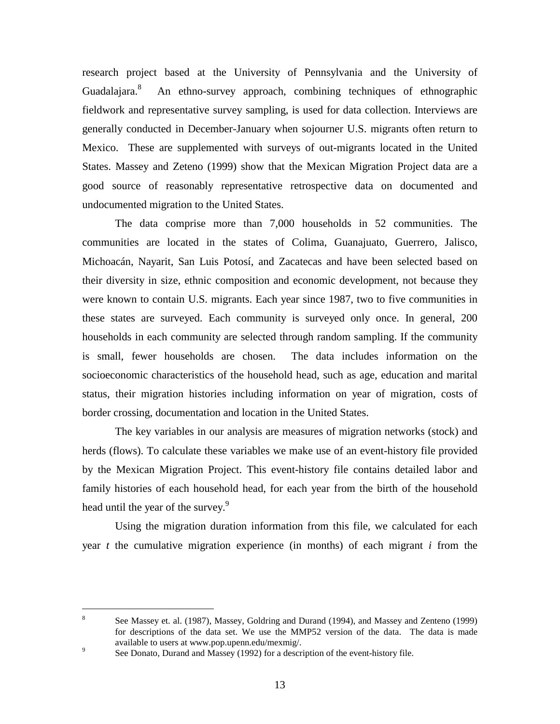research project based at the University of Pennsylvania and the University of Guadalajara.<sup>8</sup> An ethno-survey approach, combining techniques of ethnographic fieldwork and representative survey sampling, is used for data collection. Interviews are generally conducted in December-January when sojourner U.S. migrants often return to Mexico. These are supplemented with surveys of out-migrants located in the United States. Massey and Zeteno (1999) show that the Mexican Migration Project data are a good source of reasonably representative retrospective data on documented and undocumented migration to the United States.

The data comprise more than 7,000 households in 52 communities. The communities are located in the states of Colima, Guanajuato, Guerrero, Jalisco, Michoacán, Nayarit, San Luis Potosí, and Zacatecas and have been selected based on their diversity in size, ethnic composition and economic development, not because they were known to contain U.S. migrants. Each year since 1987, two to five communities in these states are surveyed. Each community is surveyed only once. In general, 200 households in each community are selected through random sampling. If the community is small, fewer households are chosen. The data includes information on the socioeconomic characteristics of the household head, such as age, education and marital status, their migration histories including information on year of migration, costs of border crossing, documentation and location in the United States.

The key variables in our analysis are measures of migration networks (stock) and herds (flows). To calculate these variables we make use of an event-history file provided by the Mexican Migration Project. This event-history file contains detailed labor and family histories of each household head, for each year from the birth of the household head until the year of the survey.<sup>9</sup>

Using the migration duration information from this file, we calculated for each year *t* the cumulative migration experience (in months) of each migrant *i* from the

<u>.</u>

<sup>8</sup> See Massey et. al. (1987), Massey, Goldring and Durand (1994), and Massey and Zenteno (1999) for descriptions of the data set. We use the MMP52 version of the data. The data is made available to users at www.pop.upenn.edu/mexmig/.<br>See Denate Durand and Messay (1002) for a decem-

See Donato, Durand and Massey (1992) for a description of the event-history file.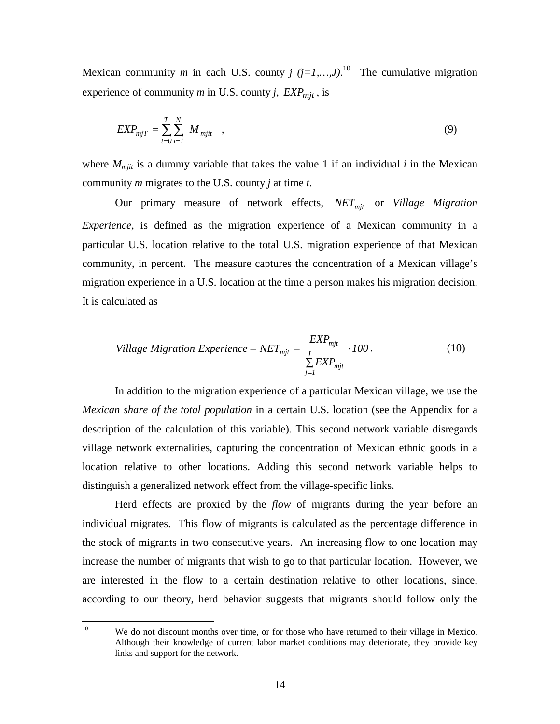Mexican community *m* in each U.S. county  $j$  ( $j=1,...,J$ ).<sup>10</sup> The cumulative migration experience of community  $m$  in U.S. county  $j$ ,  $EXP_{mit}$ , is

$$
EXP_{mjT} = \sum_{t=0}^{T} \sum_{i=1}^{N} M_{mjit} \quad , \tag{9}
$$

where  $M<sub>mit</sub>$  is a dummy variable that takes the value 1 if an individual  $i$  in the Mexican community *m* migrates to the U.S. county *j* at time *t*.

Our primary measure of network effects, *NET<sub>mit</sub>* or *Village Migration Experience*, is defined as the migration experience of a Mexican community in a particular U.S. location relative to the total U.S. migration experience of that Mexican community, in percent. The measure captures the concentration of a Mexican village's migration experience in a U.S. location at the time a person makes his migration decision. It is calculated as

Village Migration Experience = 
$$
NET_{mjt} = \frac{EXP_{mjt}}{\sum_{j=1}^{J} EXP_{mjt}} \cdot 100
$$
. (10)

In addition to the migration experience of a particular Mexican village, we use the *Mexican share of the total population* in a certain U.S. location (see the Appendix for a description of the calculation of this variable). This second network variable disregards village network externalities, capturing the concentration of Mexican ethnic goods in a location relative to other locations. Adding this second network variable helps to distinguish a generalized network effect from the village-specific links.

Herd effects are proxied by the *flow* of migrants during the year before an individual migrates. This flow of migrants is calculated as the percentage difference in the stock of migrants in two consecutive years. An increasing flow to one location may increase the number of migrants that wish to go to that particular location. However, we are interested in the flow to a certain destination relative to other locations, since, according to our theory, herd behavior suggests that migrants should follow only the

 $10<sup>10</sup>$ We do not discount months over time, or for those who have returned to their village in Mexico. Although their knowledge of current labor market conditions may deteriorate, they provide key links and support for the network.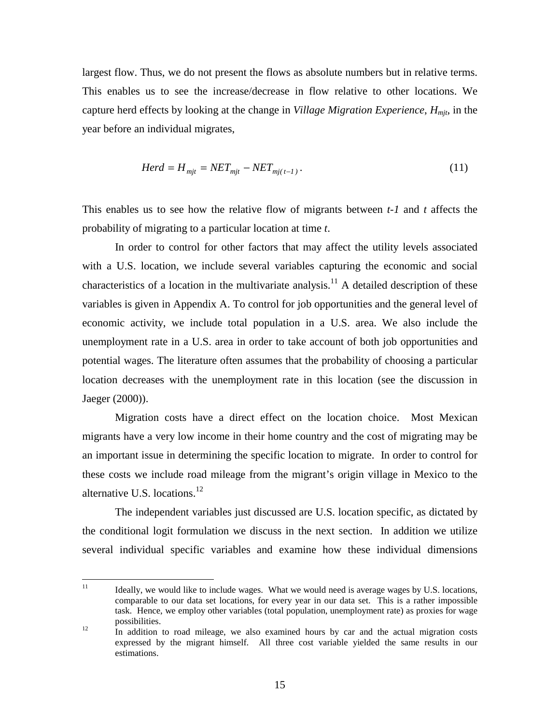largest flow. Thus, we do not present the flows as absolute numbers but in relative terms. This enables us to see the increase/decrease in flow relative to other locations. We capture herd effects by looking at the change in *Village Migration Experience*, *Hmjt*, in the year before an individual migrates,

$$
Herd = H_{mjt} = NET_{mjt} - NET_{mj(t-1)}.
$$
\n(11)

This enables us to see how the relative flow of migrants between *t-1* and *t* affects the probability of migrating to a particular location at time *t*.

In order to control for other factors that may affect the utility levels associated with a U.S. location, we include several variables capturing the economic and social characteristics of a location in the multivariate analysis.<sup>11</sup> A detailed description of these variables is given in Appendix A. To control for job opportunities and the general level of economic activity, we include total population in a U.S. area. We also include the unemployment rate in a U.S. area in order to take account of both job opportunities and potential wages. The literature often assumes that the probability of choosing a particular location decreases with the unemployment rate in this location (see the discussion in Jaeger (2000)).

Migration costs have a direct effect on the location choice. Most Mexican migrants have a very low income in their home country and the cost of migrating may be an important issue in determining the specific location to migrate. In order to control for these costs we include road mileage from the migrant's origin village in Mexico to the alternative U.S. locations.<sup>12</sup>

The independent variables just discussed are U.S. location specific, as dictated by the conditional logit formulation we discuss in the next section. In addition we utilize several individual specific variables and examine how these individual dimensions

 $11$ 11 Ideally, we would like to include wages. What we would need is average wages by U.S. locations, comparable to our data set locations, for every year in our data set. This is a rather impossible task. Hence, we employ other variables (total population, unemployment rate) as proxies for wage possibilities.<br><sup>12</sup> In addition to road mileage, we also examined hours by car and the actual migration costs

expressed by the migrant himself. All three cost variable yielded the same results in our estimations.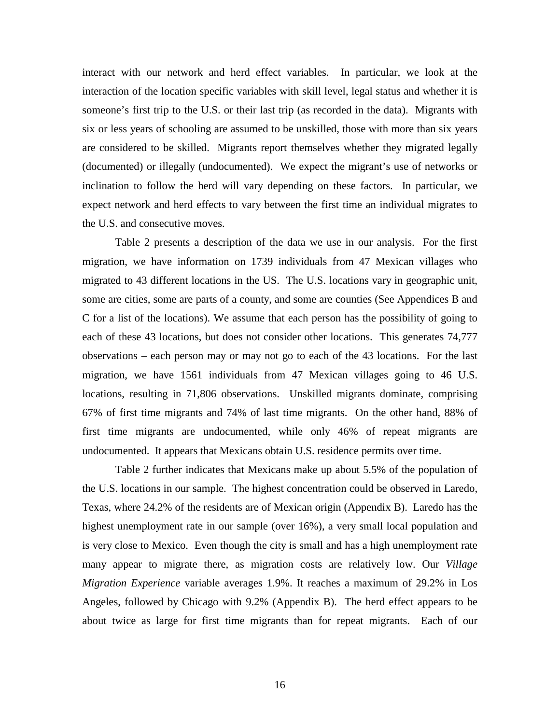interact with our network and herd effect variables. In particular, we look at the interaction of the location specific variables with skill level, legal status and whether it is someone's first trip to the U.S. or their last trip (as recorded in the data). Migrants with six or less years of schooling are assumed to be unskilled, those with more than six years are considered to be skilled. Migrants report themselves whether they migrated legally (documented) or illegally (undocumented). We expect the migrant's use of networks or inclination to follow the herd will vary depending on these factors. In particular, we expect network and herd effects to vary between the first time an individual migrates to the U.S. and consecutive moves.

Table 2 presents a description of the data we use in our analysis. For the first migration, we have information on 1739 individuals from 47 Mexican villages who migrated to 43 different locations in the US. The U.S. locations vary in geographic unit, some are cities, some are parts of a county, and some are counties (See Appendices B and C for a list of the locations). We assume that each person has the possibility of going to each of these 43 locations, but does not consider other locations. This generates 74,777 observations – each person may or may not go to each of the 43 locations. For the last migration, we have 1561 individuals from 47 Mexican villages going to 46 U.S. locations, resulting in 71,806 observations. Unskilled migrants dominate, comprising 67% of first time migrants and 74% of last time migrants. On the other hand, 88% of first time migrants are undocumented, while only 46% of repeat migrants are undocumented. It appears that Mexicans obtain U.S. residence permits over time.

Table 2 further indicates that Mexicans make up about 5.5% of the population of the U.S. locations in our sample. The highest concentration could be observed in Laredo, Texas, where 24.2% of the residents are of Mexican origin (Appendix B). Laredo has the highest unemployment rate in our sample (over 16%), a very small local population and is very close to Mexico. Even though the city is small and has a high unemployment rate many appear to migrate there, as migration costs are relatively low. Our *Village Migration Experience* variable averages 1.9%. It reaches a maximum of 29.2% in Los Angeles, followed by Chicago with 9.2% (Appendix B). The herd effect appears to be about twice as large for first time migrants than for repeat migrants. Each of our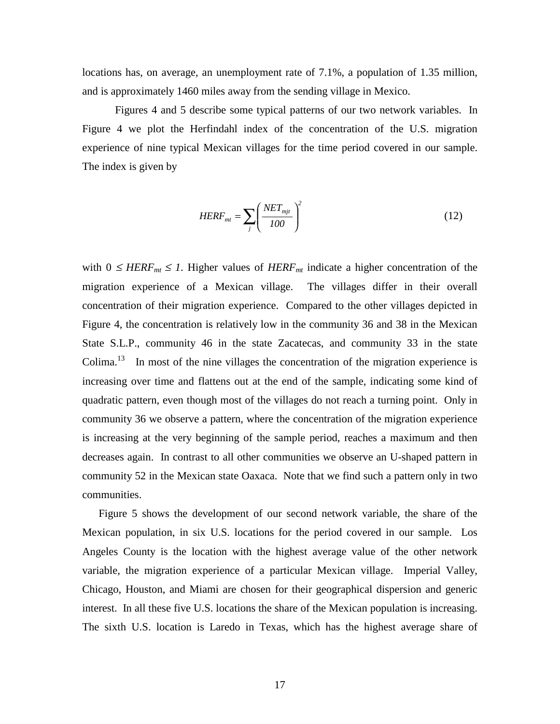locations has, on average, an unemployment rate of 7.1%, a population of 1.35 million, and is approximately 1460 miles away from the sending village in Mexico.

Figures 4 and 5 describe some typical patterns of our two network variables. In Figure 4 we plot the Herfindahl index of the concentration of the U.S. migration experience of nine typical Mexican villages for the time period covered in our sample. The index is given by

$$
HERF_{mt} = \sum_{j} \left( \frac{NET_{mit}}{100} \right)^2 \tag{12}
$$

with  $0 \leq HERF_{mt} \leq 1$ . Higher values of  $HERF_{mt}$  indicate a higher concentration of the migration experience of a Mexican village. The villages differ in their overall concentration of their migration experience. Compared to the other villages depicted in Figure 4, the concentration is relatively low in the community 36 and 38 in the Mexican State S.L.P., community 46 in the state Zacatecas, and community 33 in the state Colima.<sup>13</sup> In most of the nine villages the concentration of the migration experience is increasing over time and flattens out at the end of the sample, indicating some kind of quadratic pattern, even though most of the villages do not reach a turning point. Only in community 36 we observe a pattern, where the concentration of the migration experience is increasing at the very beginning of the sample period, reaches a maximum and then decreases again. In contrast to all other communities we observe an U-shaped pattern in community 52 in the Mexican state Oaxaca. Note that we find such a pattern only in two communities.

 Figure 5 shows the development of our second network variable, the share of the Mexican population, in six U.S. locations for the period covered in our sample. Los Angeles County is the location with the highest average value of the other network variable, the migration experience of a particular Mexican village. Imperial Valley, Chicago, Houston, and Miami are chosen for their geographical dispersion and generic interest. In all these five U.S. locations the share of the Mexican population is increasing. The sixth U.S. location is Laredo in Texas, which has the highest average share of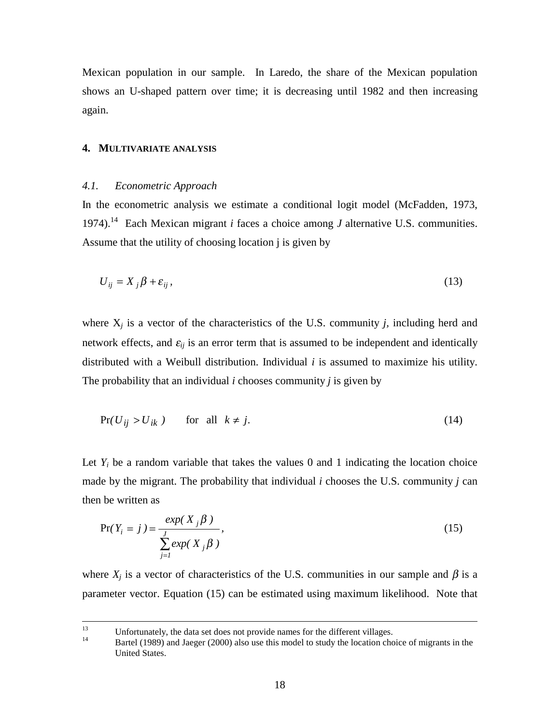Mexican population in our sample. In Laredo, the share of the Mexican population shows an U-shaped pattern over time; it is decreasing until 1982 and then increasing again.

### **4. MULTIVARIATE ANALYSIS**

#### *4.1. Econometric Approach*

In the econometric analysis we estimate a conditional logit model (McFadden, 1973, 1974).14 Each Mexican migrant *i* faces a choice among *J* alternative U.S. communities. Assume that the utility of choosing location j is given by

$$
U_{ij} = X_j \beta + \varepsilon_{ij},\tag{13}
$$

where  $X_i$  is a vector of the characteristics of the U.S. community *j*, including herd and network effects, and  $\varepsilon_{ij}$  is an error term that is assumed to be independent and identically distributed with a Weibull distribution. Individual *i* is assumed to maximize his utility. The probability that an individual *i* chooses community *j* is given by

$$
Pr(U_{ij} > U_{ik}) \qquad \text{for all } k \neq j. \tag{14}
$$

Let  $Y_i$  be a random variable that takes the values 0 and 1 indicating the location choice made by the migrant. The probability that individual *i* chooses the U.S. community *j* can then be written as

$$
Pr(Y_i = j) = \frac{exp(X_j \beta)}{\sum_{j=1}^{J} exp(X_j \beta)},
$$
\n(15)

where  $X_j$  is a vector of characteristics of the U.S. communities in our sample and  $\beta$  is a parameter vector. Equation (15) can be estimated using maximum likelihood. Note that

<sup>&</sup>lt;sup>13</sup> Unfortunately, the data set does not provide names for the different villages.<br><sup>14</sup> Partel (1080) and Jacque (2000) also use this model to study the location abo

Bartel (1989) and Jaeger (2000) also use this model to study the location choice of migrants in the United States.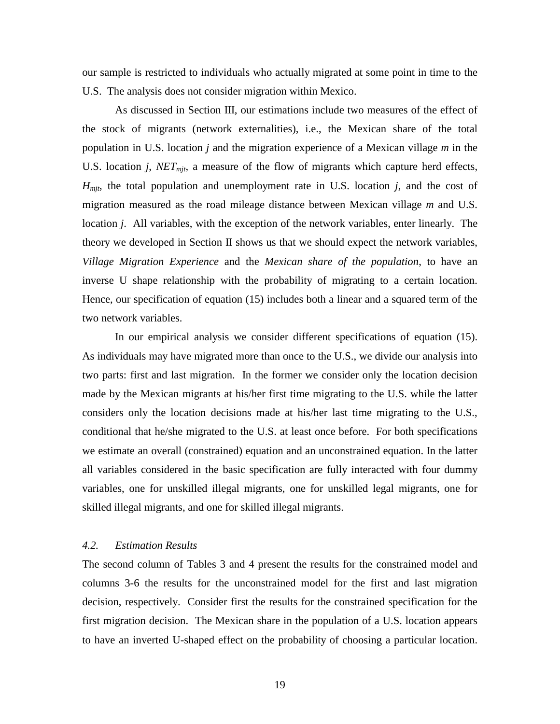our sample is restricted to individuals who actually migrated at some point in time to the U.S. The analysis does not consider migration within Mexico.

As discussed in Section III, our estimations include two measures of the effect of the stock of migrants (network externalities), i.e., the Mexican share of the total population in U.S. location *j* and the migration experience of a Mexican village *m* in the U.S. location *j*, *NET<sub>mit</sub>*, a measure of the flow of migrants which capture herd effects,  $H<sub>mit</sub>$ , the total population and unemployment rate in U.S. location *j*, and the cost of migration measured as the road mileage distance between Mexican village *m* and U.S. location *j*. All variables, with the exception of the network variables, enter linearly. The theory we developed in Section II shows us that we should expect the network variables, *Village Migration Experience* and the *Mexican share of the population*, to have an inverse U shape relationship with the probability of migrating to a certain location. Hence, our specification of equation (15) includes both a linear and a squared term of the two network variables.

In our empirical analysis we consider different specifications of equation (15). As individuals may have migrated more than once to the U.S., we divide our analysis into two parts: first and last migration. In the former we consider only the location decision made by the Mexican migrants at his/her first time migrating to the U.S. while the latter considers only the location decisions made at his/her last time migrating to the U.S., conditional that he/she migrated to the U.S. at least once before. For both specifications we estimate an overall (constrained) equation and an unconstrained equation. In the latter all variables considered in the basic specification are fully interacted with four dummy variables, one for unskilled illegal migrants, one for unskilled legal migrants, one for skilled illegal migrants, and one for skilled illegal migrants.

### *4.2. Estimation Results*

The second column of Tables 3 and 4 present the results for the constrained model and columns 3-6 the results for the unconstrained model for the first and last migration decision, respectively. Consider first the results for the constrained specification for the first migration decision. The Mexican share in the population of a U.S. location appears to have an inverted U-shaped effect on the probability of choosing a particular location.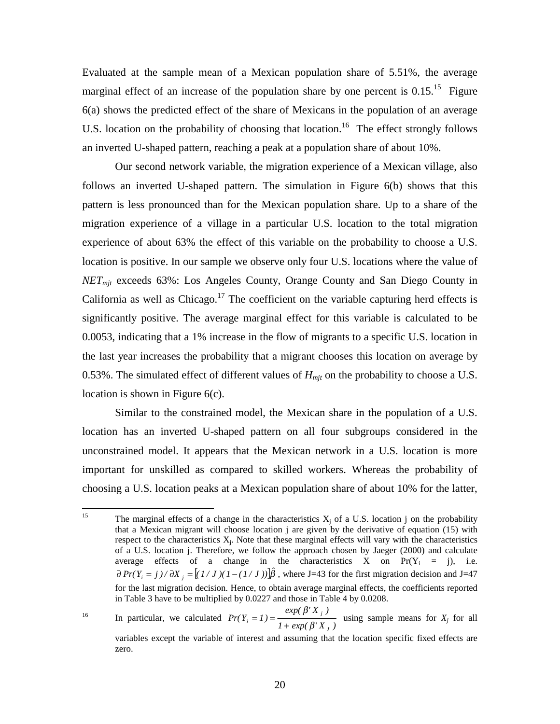Evaluated at the sample mean of a Mexican population share of 5.51%, the average marginal effect of an increase of the population share by one percent is  $0.15$ .<sup>15</sup> Figure 6(a) shows the predicted effect of the share of Mexicans in the population of an average U.S. location on the probability of choosing that location.<sup>16</sup> The effect strongly follows an inverted U-shaped pattern, reaching a peak at a population share of about 10%.

Our second network variable, the migration experience of a Mexican village, also follows an inverted U-shaped pattern. The simulation in Figure 6(b) shows that this pattern is less pronounced than for the Mexican population share. Up to a share of the migration experience of a village in a particular U.S. location to the total migration experience of about 63% the effect of this variable on the probability to choose a U.S. location is positive. In our sample we observe only four U.S. locations where the value of *NETmjt* exceeds 63%: Los Angeles County, Orange County and San Diego County in California as well as Chicago.<sup>17</sup> The coefficient on the variable capturing herd effects is significantly positive. The average marginal effect for this variable is calculated to be 0.0053, indicating that a 1% increase in the flow of migrants to a specific U.S. location in the last year increases the probability that a migrant chooses this location on average by 0.53%. The simulated effect of different values of  $H<sub>mit</sub>$  on the probability to choose a U.S. location is shown in Figure 6(c).

Similar to the constrained model, the Mexican share in the population of a U.S. location has an inverted U-shaped pattern on all four subgroups considered in the unconstrained model. It appears that the Mexican network in a U.S. location is more important for unskilled as compared to skilled workers. Whereas the probability of choosing a U.S. location peaks at a Mexican population share of about 10% for the latter,

 $15\,$ The marginal effects of a change in the characteristics  $X_i$  of a U.S. location j on the probability that a Mexican migrant will choose location  $j$  are given by the derivative of equation (15) with respect to the characteristics  $X_i$ . Note that these marginal effects will vary with the characteristics of a U.S. location j. Therefore, we follow the approach chosen by Jaeger (2000) and calculate average effects of a change in the characteristics X on  $Pr(Y_i = j)$ , i.e.  $\partial Pr(Y_i = j) / \partial X_j = [(1/J)(1 - (1/J))] \hat{\beta}$ , where J=43 for the first migration decision and J=47 for the last migration decision. Hence, to obtain average marginal effects, the coefficients reported in Table 3 have to be multiplied by 0.0227 and those in Table 4 by 0.0208.

<sup>&</sup>lt;sup>16</sup> In particular, we calculated  $Pr(Y_i = 1) = \frac{exp(\beta' X_j)}{1 + exp(\beta' X_j)}$ *Pr*( $Y_i = 1$ ) *J j*  $i - 1$ *)* –  $\frac{1}{1 + exp(\beta)}$ β  $= 1$ ) =  $\frac{1}{1 + exp(\beta' X_i)}$  using sample means for *X<sub>j</sub>* for all variables except the variable of interest and assuming that the location specific fixed effects are zero.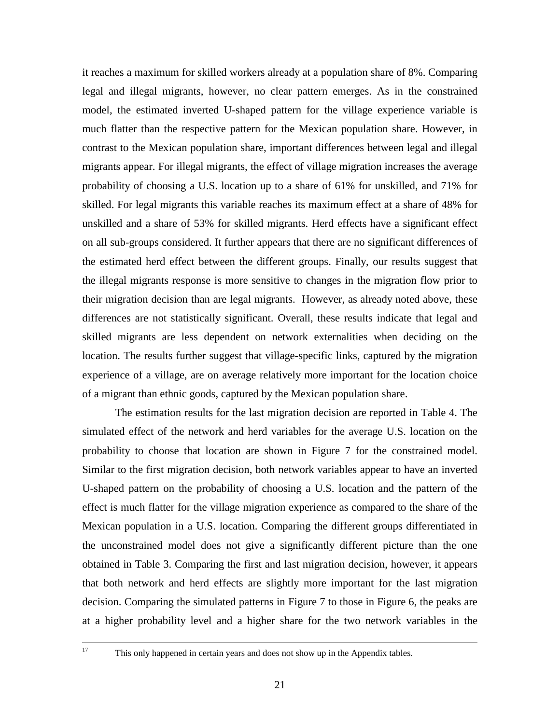it reaches a maximum for skilled workers already at a population share of 8%. Comparing legal and illegal migrants, however, no clear pattern emerges. As in the constrained model, the estimated inverted U-shaped pattern for the village experience variable is much flatter than the respective pattern for the Mexican population share. However, in contrast to the Mexican population share, important differences between legal and illegal migrants appear. For illegal migrants, the effect of village migration increases the average probability of choosing a U.S. location up to a share of 61% for unskilled, and 71% for skilled. For legal migrants this variable reaches its maximum effect at a share of 48% for unskilled and a share of 53% for skilled migrants. Herd effects have a significant effect on all sub-groups considered. It further appears that there are no significant differences of the estimated herd effect between the different groups. Finally, our results suggest that the illegal migrants response is more sensitive to changes in the migration flow prior to their migration decision than are legal migrants. However, as already noted above, these differences are not statistically significant. Overall, these results indicate that legal and skilled migrants are less dependent on network externalities when deciding on the location. The results further suggest that village-specific links, captured by the migration experience of a village, are on average relatively more important for the location choice of a migrant than ethnic goods, captured by the Mexican population share.

The estimation results for the last migration decision are reported in Table 4. The simulated effect of the network and herd variables for the average U.S. location on the probability to choose that location are shown in Figure 7 for the constrained model. Similar to the first migration decision, both network variables appear to have an inverted U-shaped pattern on the probability of choosing a U.S. location and the pattern of the effect is much flatter for the village migration experience as compared to the share of the Mexican population in a U.S. location. Comparing the different groups differentiated in the unconstrained model does not give a significantly different picture than the one obtained in Table 3. Comparing the first and last migration decision, however, it appears that both network and herd effects are slightly more important for the last migration decision. Comparing the simulated patterns in Figure 7 to those in Figure 6, the peaks are at a higher probability level and a higher share for the two network variables in the

<sup>17</sup> This only happened in certain years and does not show up in the Appendix tables.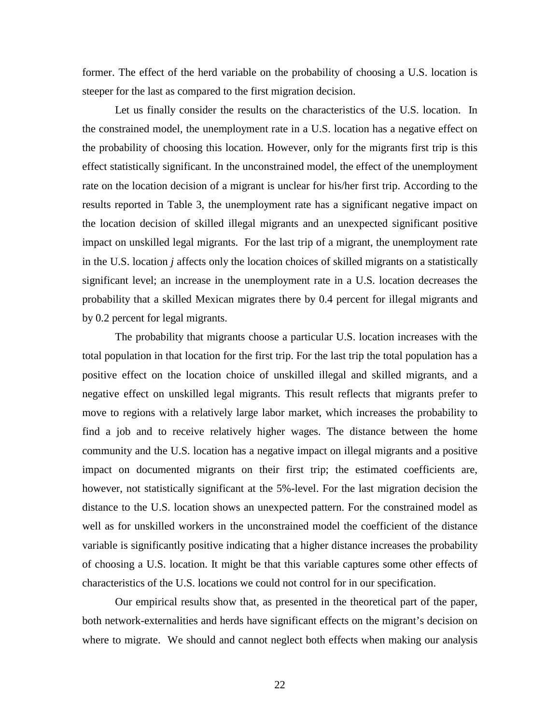former. The effect of the herd variable on the probability of choosing a U.S. location is steeper for the last as compared to the first migration decision.

Let us finally consider the results on the characteristics of the U.S. location. In the constrained model, the unemployment rate in a U.S. location has a negative effect on the probability of choosing this location. However, only for the migrants first trip is this effect statistically significant. In the unconstrained model, the effect of the unemployment rate on the location decision of a migrant is unclear for his/her first trip. According to the results reported in Table 3, the unemployment rate has a significant negative impact on the location decision of skilled illegal migrants and an unexpected significant positive impact on unskilled legal migrants. For the last trip of a migrant, the unemployment rate in the U.S. location *j* affects only the location choices of skilled migrants on a statistically significant level; an increase in the unemployment rate in a U.S. location decreases the probability that a skilled Mexican migrates there by 0.4 percent for illegal migrants and by 0.2 percent for legal migrants.

The probability that migrants choose a particular U.S. location increases with the total population in that location for the first trip. For the last trip the total population has a positive effect on the location choice of unskilled illegal and skilled migrants, and a negative effect on unskilled legal migrants. This result reflects that migrants prefer to move to regions with a relatively large labor market, which increases the probability to find a job and to receive relatively higher wages. The distance between the home community and the U.S. location has a negative impact on illegal migrants and a positive impact on documented migrants on their first trip; the estimated coefficients are, however, not statistically significant at the 5%-level. For the last migration decision the distance to the U.S. location shows an unexpected pattern. For the constrained model as well as for unskilled workers in the unconstrained model the coefficient of the distance variable is significantly positive indicating that a higher distance increases the probability of choosing a U.S. location. It might be that this variable captures some other effects of characteristics of the U.S. locations we could not control for in our specification.

Our empirical results show that, as presented in the theoretical part of the paper, both network-externalities and herds have significant effects on the migrant's decision on where to migrate. We should and cannot neglect both effects when making our analysis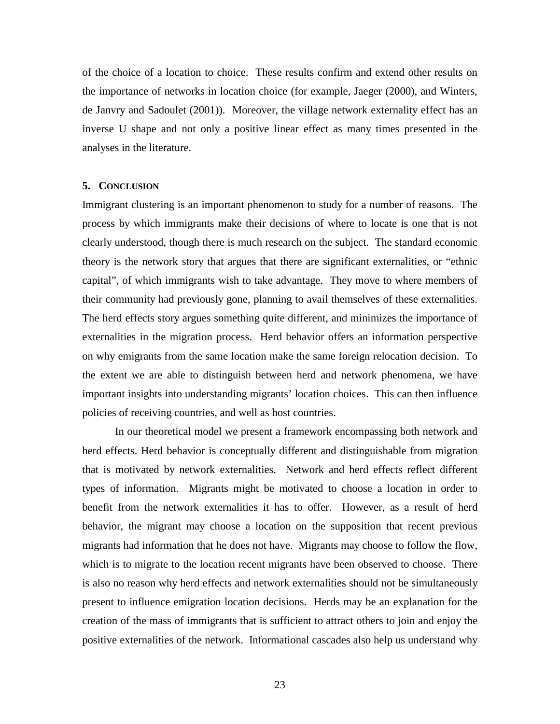of the choice of a location to choice. These results confirm and extend other results on the importance of networks in location choice (for example, Jaeger (2000), and Winters, de Janvry and Sadoulet (2001)). Moreover, the village network externality effect has an inverse U shape and not only a positive linear effect as many times presented in the analyses in the literature.

#### **5. CONCLUSION**

Immigrant clustering is an important phenomenon to study for a number of reasons. The process by which immigrants make their decisions of where to locate is one that is not clearly understood, though there is much research on the subject. The standard economic theory is the network story that argues that there are significant externalities, or "ethnic capital", of which immigrants wish to take advantage. They move to where members of their community had previously gone, planning to avail themselves of these externalities. The herd effects story argues something quite different, and minimizes the importance of externalities in the migration process. Herd behavior offers an information perspective on why emigrants from the same location make the same foreign relocation decision. To the extent we are able to distinguish between herd and network phenomena, we have important insights into understanding migrants' location choices. This can then influence policies of receiving countries, and well as host countries.

In our theoretical model we present a framework encompassing both network and herd effects. Herd behavior is conceptually different and distinguishable from migration that is motivated by network externalities. Network and herd effects reflect different types of information. Migrants might be motivated to choose a location in order to benefit from the network externalities it has to offer. However, as a result of herd behavior, the migrant may choose a location on the supposition that recent previous migrants had information that he does not have. Migrants may choose to follow the flow, which is to migrate to the location recent migrants have been observed to choose. There is also no reason why herd effects and network externalities should not be simultaneously present to influence emigration location decisions. Herds may be an explanation for the creation of the mass of immigrants that is sufficient to attract others to join and enjoy the positive externalities of the network. Informational cascades also help us understand why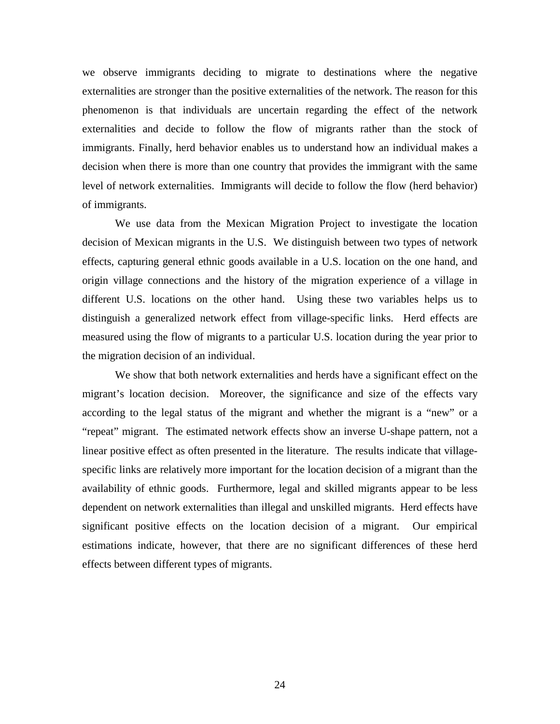we observe immigrants deciding to migrate to destinations where the negative externalities are stronger than the positive externalities of the network. The reason for this phenomenon is that individuals are uncertain regarding the effect of the network externalities and decide to follow the flow of migrants rather than the stock of immigrants. Finally, herd behavior enables us to understand how an individual makes a decision when there is more than one country that provides the immigrant with the same level of network externalities. Immigrants will decide to follow the flow (herd behavior) of immigrants.

We use data from the Mexican Migration Project to investigate the location decision of Mexican migrants in the U.S. We distinguish between two types of network effects, capturing general ethnic goods available in a U.S. location on the one hand, and origin village connections and the history of the migration experience of a village in different U.S. locations on the other hand. Using these two variables helps us to distinguish a generalized network effect from village-specific links. Herd effects are measured using the flow of migrants to a particular U.S. location during the year prior to the migration decision of an individual.

We show that both network externalities and herds have a significant effect on the migrant's location decision. Moreover, the significance and size of the effects vary according to the legal status of the migrant and whether the migrant is a "new" or a "repeat" migrant. The estimated network effects show an inverse U-shape pattern, not a linear positive effect as often presented in the literature. The results indicate that villagespecific links are relatively more important for the location decision of a migrant than the availability of ethnic goods. Furthermore, legal and skilled migrants appear to be less dependent on network externalities than illegal and unskilled migrants. Herd effects have significant positive effects on the location decision of a migrant. Our empirical estimations indicate, however, that there are no significant differences of these herd effects between different types of migrants.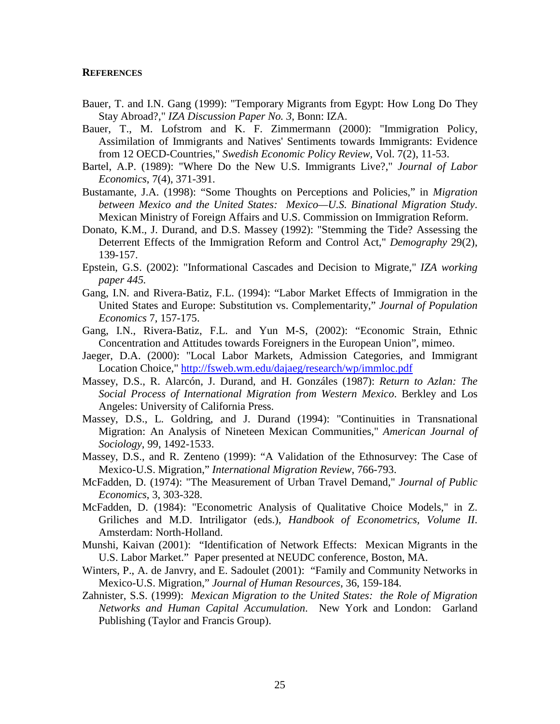#### **REFERENCES**

- Bauer, T. and I.N. Gang (1999): "Temporary Migrants from Egypt: How Long Do They Stay Abroad?," *IZA Discussion Paper No. 3*, Bonn: IZA.
- Bauer, T., M. Lofstrom and K. F. Zimmermann (2000): "Immigration Policy, Assimilation of Immigrants and Natives' Sentiments towards Immigrants: Evidence from 12 OECD-Countries," *Swedish Economic Policy Review,* Vol. 7(2), 11-53.
- Bartel, A.P. (1989): "Where Do the New U.S. Immigrants Live?," *Journal of Labor Economics*, 7(4), 371-391.
- Bustamante, J.A. (1998): "Some Thoughts on Perceptions and Policies," in *Migration between Mexico and the United States: Mexico—U.S. Binational Migration Study*. Mexican Ministry of Foreign Affairs and U.S. Commission on Immigration Reform.
- Donato, K.M., J. Durand, and D.S. Massey (1992): "Stemming the Tide? Assessing the Deterrent Effects of the Immigration Reform and Control Act," *Demography* 29(2), 139-157.
- Epstein, G.S. (2002): "Informational Cascades and Decision to Migrate," *IZA working paper 445.*
- Gang, I.N. and Rivera-Batiz, F.L. (1994): "Labor Market Effects of Immigration in the United States and Europe: Substitution vs. Complementarity," *Journal of Population Economics* 7, 157-175.
- Gang, I.N., Rivera-Batiz, F.L. and Yun M-S, (2002): "Economic Strain, Ethnic Concentration and Attitudes towards Foreigners in the European Union", mimeo.
- Jaeger, D.A. (2000): "Local Labor Markets, Admission Categories, and Immigrant Location Choice," http://fsweb.wm.edu/dajaeg/research/wp/immloc.pdf
- Massey, D.S., R. Alarcón, J. Durand, and H. Gonzáles (1987): *Return to Azlan: The Social Process of International Migration from Western Mexico*. Berkley and Los Angeles: University of California Press.
- Massey, D.S., L. Goldring, and J. Durand (1994): "Continuities in Transnational Migration: An Analysis of Nineteen Mexican Communities," *American Journal of Sociology*, 99, 1492-1533.
- Massey, D.S., and R. Zenteno (1999): "A Validation of the Ethnosurvey: The Case of Mexico-U.S. Migration," *International Migration Review*, 766-793.
- McFadden, D. (1974): "The Measurement of Urban Travel Demand," *Journal of Public Economics*, 3, 303-328.
- McFadden, D. (1984): "Econometric Analysis of Qualitative Choice Models," in Z. Griliches and M.D. Intriligator (eds.), *Handbook of Econometrics, Volume II*. Amsterdam: North-Holland.
- Munshi, Kaivan (2001): "Identification of Network Effects: Mexican Migrants in the U.S. Labor Market." Paper presented at NEUDC conference, Boston, MA.
- Winters, P., A. de Janvry, and E. Sadoulet (2001): "Family and Community Networks in Mexico-U.S. Migration," *Journal of Human Resources*, 36, 159-184.
- Zahnister, S.S. (1999): *Mexican Migration to the United States: the Role of Migration Networks and Human Capital Accumulation*. New York and London: Garland Publishing (Taylor and Francis Group).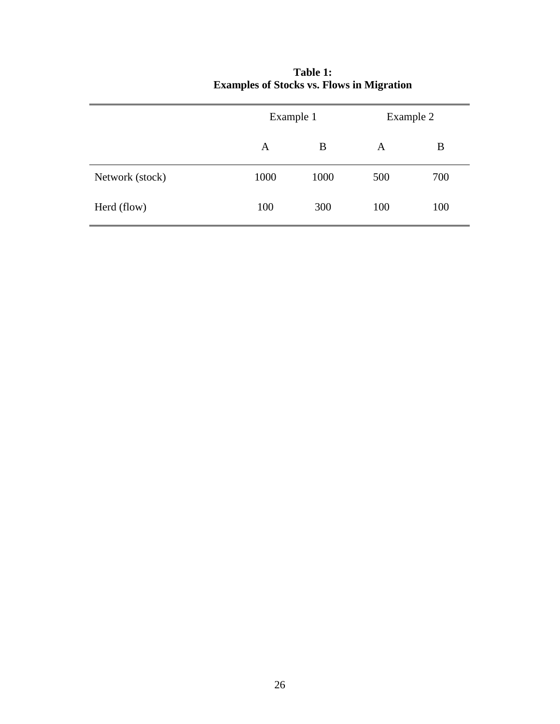|                 | Example 1 |      | Example 2 |     |
|-----------------|-----------|------|-----------|-----|
|                 | A         | B    | A         | B   |
| Network (stock) | 1000      | 1000 | 500       | 700 |
| Herd (flow)     | 100       | 300  | 100       | 100 |

# **Table 1: Examples of Stocks vs. Flows in Migration**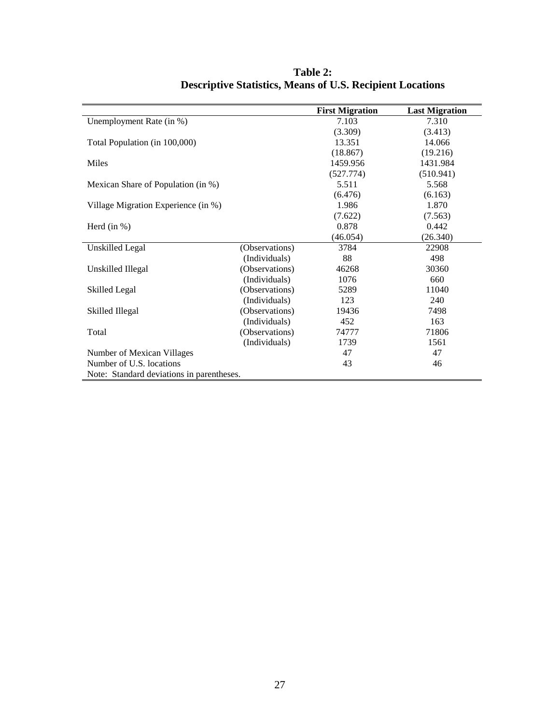|                                           |                | <b>First Migration</b> | <b>Last Migration</b> |
|-------------------------------------------|----------------|------------------------|-----------------------|
| Unemployment Rate (in %)                  |                | 7.103                  | 7.310                 |
|                                           |                | (3.309)                | (3.413)               |
| Total Population (in 100,000)             |                | 13.351                 | 14.066                |
|                                           |                | (18.867)               | (19.216)              |
| Miles                                     |                | 1459.956               | 1431.984              |
|                                           |                | (527.774)              | (510.941)             |
| Mexican Share of Population (in %)        |                | 5.511                  | 5.568                 |
|                                           |                | (6.476)                | (6.163)               |
| Village Migration Experience (in %)       |                | 1.986                  | 1.870                 |
|                                           |                | (7.622)                | (7.563)               |
| Herd $(in %)$                             |                | 0.878                  | 0.442                 |
|                                           |                | (46.054)               | (26.340)              |
| Unskilled Legal                           | (Observations) | 3784                   | 22908                 |
|                                           | (Individuals)  | 88                     | 498                   |
| Unskilled Illegal                         | (Observations) | 46268                  | 30360                 |
|                                           | (Individuals)  | 1076                   | 660                   |
| Skilled Legal                             | (Observations) | 5289                   | 11040                 |
|                                           | (Individuals)  | 123                    | 240                   |
| Skilled Illegal                           | (Observations) | 19436                  | 7498                  |
|                                           | (Individuals)  | 452                    | 163                   |
| Total                                     | (Observations) | 74777                  | 71806                 |
|                                           | (Individuals)  | 1739                   | 1561                  |
| Number of Mexican Villages                |                | 47                     | 47                    |
| Number of U.S. locations                  |                | 43                     | 46                    |
| Note: Standard deviations in parentheses. |                |                        |                       |

**Table 2: Descriptive Statistics, Means of U.S. Recipient Locations**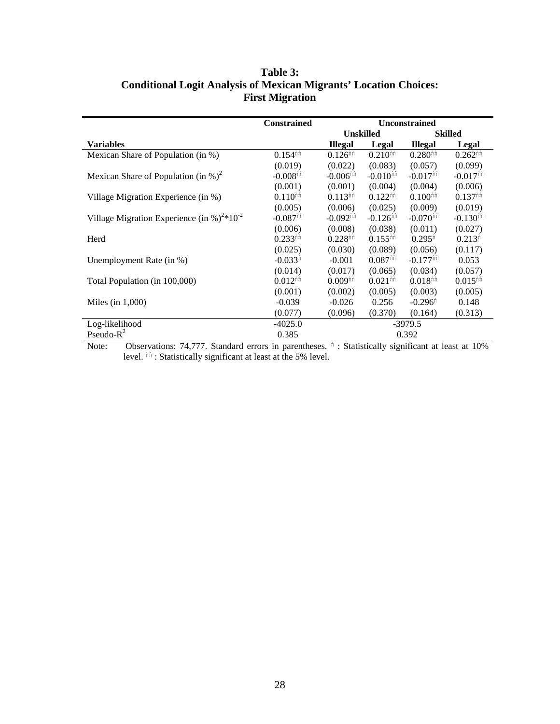|                                                                    | <b>Constrained</b>                |                        |                        | <b>Unconstrained</b>   |                        |
|--------------------------------------------------------------------|-----------------------------------|------------------------|------------------------|------------------------|------------------------|
|                                                                    |                                   |                        | <b>Unskilled</b>       |                        | <b>Skilled</b>         |
| Variables                                                          |                                   | <b>Illegal</b>         | Legal                  | <b>Illegal</b>         | Legal                  |
| Mexican Share of Population (in %)                                 | $0.154$ <sup>nh</sup>             | $0.126$ <sup>nh</sup>  | $0.210$ <sup>nh</sup>  | $0.280$ <sup>nh</sup>  | $0.262$ <sup>th</sup>  |
|                                                                    | (0.019)                           | (0.022)                | (0.083)                | (0.057)                | (0.099)                |
| Mexican Share of Population (in %) <sup>2</sup>                    | $-0.008$ <sup>hh</sup>            | $-0.006$ <sup>th</sup> | $-0.010$ <sup>th</sup> | $-0.017$ <sup>th</sup> | $-0.017$ <sup>th</sup> |
|                                                                    | (0.001)                           | (0.001)                | (0.004)                | (0.004)                | (0.006)                |
| Village Migration Experience (in %)                                | $0.110^{\text{h} \hat{\text{n}}}$ | $0.113$ <sup>th</sup>  | $0.122$ <sup>th</sup>  | $0.100$ <sup>th</sup>  | $0.137$ <sup>th</sup>  |
|                                                                    | (0.005)                           | (0.006)                | (0.025)                | (0.009)                | (0.019)                |
| Village Migration Experience (in %) <sup>2*</sup> 10 <sup>-2</sup> | $-0.087$ <sup>th</sup>            | $-0.092$ <sup>th</sup> | $-0.126$ <sup>th</sup> | $-0.070$ <sup>nn</sup> | $-0.130$ <sup>th</sup> |
|                                                                    | (0.006)                           | (0.008)                | (0.038)                | (0.011)                | (0.027)                |
| Herd                                                               | $0.233$ <sup>th</sup>             | $0.228$ <sup>hh</sup>  | $0.155$ <sup>th</sup>  | $0.295$ <sup>n</sup>   | $0.213$ <sup>n</sup>   |
|                                                                    | (0.025)                           | (0.030)                | (0.089)                | (0.056)                | (0.117)                |
| Unemployment Rate (in %)                                           | $-0.033$ <sup>n</sup>             | $-0.001$               | $0.087$ <sup>th</sup>  | $-0.177$ <sup>th</sup> | 0.053                  |
|                                                                    | (0.014)                           | (0.017)                | (0.065)                | (0.034)                | (0.057)                |
| Total Population (in 100,000)                                      | $0.012$ <sup>nh</sup>             | $0.009$ <sup>nh</sup>  | $0.021$ <sup>th</sup>  | $0.018$ <sup>nh</sup>  | $0.015$ <sup>th</sup>  |
|                                                                    | (0.001)                           | (0.002)                | (0.005)                | (0.003)                | (0.005)                |
| Miles (in $1,000$ )                                                | $-0.039$                          | $-0.026$               | 0.256                  | $-0.296$ <sup>n</sup>  | 0.148                  |
|                                                                    | (0.077)                           | (0.096)                | (0.370)                | (0.164)                | (0.313)                |
| Log-likelihood                                                     | $-4025.0$                         |                        |                        | $-3979.5$              |                        |
| Pseudo- $R^2$                                                      | 0.385                             |                        |                        | 0.392                  |                        |

# **Table 3: Conditional Logit Analysis of Mexican Migrants' Location Choices: First Migration**

 $\frac{1}{\text{Note:}}$ Note: Observations: 74,777. Standard errors in parentheses.  $\hat{n}$  : Statistically significant at least at 10% level.  $\hat{h}$  : Statistically significant at least at the 5% level.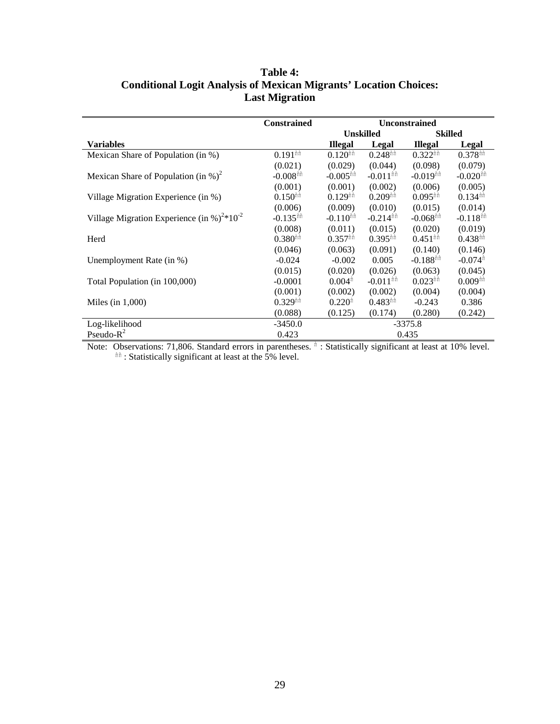|                                                                    | <b>Constrained</b>     | <b>Unconstrained</b>     |                        |                                            |                        |
|--------------------------------------------------------------------|------------------------|--------------------------|------------------------|--------------------------------------------|------------------------|
|                                                                    |                        | <b>Unskilled</b>         |                        |                                            | <b>Skilled</b>         |
| <b>Variables</b>                                                   |                        | <b>Illegal</b>           | Legal                  | <b>Illegal</b>                             | Legal                  |
| Mexican Share of Population (in %)                                 | $0.191$ <sup>th</sup>  | $0.120$ <sup>nn</sup>    | $0.248$ <sup>nh</sup>  | $0.322$ <sup><math>\text{min}</math></sup> | $0.378$ <sup>th</sup>  |
|                                                                    | (0.021)                | (0.029)                  | (0.044)                | (0.098)                                    | (0.079)                |
| Mexican Share of Population (in %) <sup>2</sup>                    | $-0.008$ <sup>th</sup> | $-0.005$ <sup>th</sup>   | $-0.011$ <sup>th</sup> | $-0.019$ <sup>nh</sup>                     | $-0.020$ <sup>th</sup> |
|                                                                    | (0.001)                | (0.001)                  | (0.002)                | (0.006)                                    | (0.005)                |
| Village Migration Experience (in %)                                | $0.150$ <sup>nn</sup>  | $0.129$ <sup>nn</sup>    | $0.209$ <sup>nh</sup>  | $0.095$ <sup>th</sup>                      | $0.134$ <sup>th</sup>  |
|                                                                    | (0.006)                | (0.009)                  | (0.010)                | (0.015)                                    | (0.014)                |
| Village Migration Experience (in %) <sup>2*</sup> 10 <sup>-2</sup> | $-0.135$ <sup>th</sup> | $-0.110$ <sup>th</sup>   | $-0.214$ <sup>nn</sup> | $-0.068$ <sup>nh</sup>                     | $-0.118$ <sup>nn</sup> |
|                                                                    | (0.008)                | (0.011)                  | (0.015)                | (0.020)                                    | (0.019)                |
| Herd                                                               | $0.380$ <sup>nh</sup>  | $0.357$ <sup>th th</sup> | $0.395$ <sup>th</sup>  | $0.451$ <sup>th</sup>                      | $0.438$ <sup>th</sup>  |
|                                                                    | (0.046)                | (0.063)                  | (0.091)                | (0.140)                                    | (0.146)                |
| Unemployment Rate (in %)                                           | $-0.024$               | $-0.002$                 | 0.005                  | $-0.188$ <sup>th</sup>                     | $-0.074$ <sup>n</sup>  |
|                                                                    | (0.015)                | (0.020)                  | (0.026)                | (0.063)                                    | (0.045)                |
| Total Population (in 100,000)                                      | $-0.0001$              | $0.004$ <sup>n</sup>     | $-0.011$ <sup>th</sup> | $0.023$ <sup>th</sup>                      | $0.009$ <sup>nh</sup>  |
|                                                                    | (0.001)                | (0.002)                  | (0.002)                | (0.004)                                    | (0.004)                |
| Miles (in $1,000$ )                                                | $0.329$ <sup>nh</sup>  | $0.220^n$                | $0.483$ <sup>th</sup>  | $-0.243$                                   | 0.386                  |
|                                                                    | (0.088)                | (0.125)                  | (0.174)                | (0.280)                                    | (0.242)                |
| Log-likelihood                                                     | $-3450.0$              |                          |                        | $-3375.8$                                  |                        |
| Pseudo- $R^2$                                                      | 0.423                  |                          |                        | 0.435                                      |                        |

# **Table 4: Conditional Logit Analysis of Mexican Migrants' Location Choices: Last Migration**

Note: Observations: 71,806. Standard errors in parentheses.  $\hat{n}$  : Statistically significant at least at 10% level. hh : Statistically significant at least at the 5% level.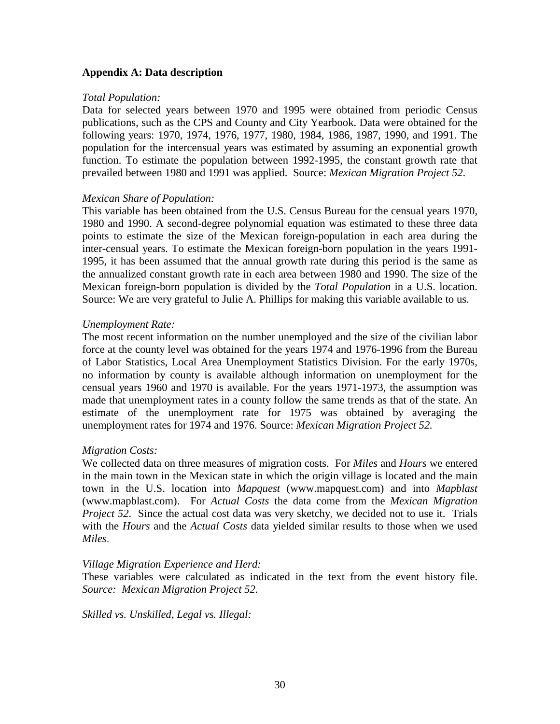# **Appendix A: Data description**

### *Total Population:*

Data for selected years between 1970 and 1995 were obtained from periodic Census publications, such as the CPS and County and City Yearbook. Data were obtained for the following years: 1970, 1974, 1976, 1977, 1980, 1984, 1986, 1987, 1990, and 1991. The population for the intercensual years was estimated by assuming an exponential growth function. To estimate the population between 1992-1995, the constant growth rate that prevailed between 1980 and 1991 was applied. Source: *Mexican Migration Project 52*.

### *Mexican Share of Population:*

This variable has been obtained from the U.S. Census Bureau for the censual years 1970, 1980 and 1990. A second-degree polynomial equation was estimated to these three data points to estimate the size of the Mexican foreign-population in each area during the inter-censual years. To estimate the Mexican foreign-born population in the years 1991- 1995, it has been assumed that the annual growth rate during this period is the same as the annualized constant growth rate in each area between 1980 and 1990. The size of the Mexican foreign-born population is divided by the *Total Population* in a U.S. location. Source: We are very grateful to Julie A. Phillips for making this variable available to us.

### *Unemployment Rate:*

The most recent information on the number unemployed and the size of the civilian labor force at the county level was obtained for the years 1974 and 1976-1996 from the Bureau of Labor Statistics, Local Area Unemployment Statistics Division. For the early 1970s, no information by county is available although information on unemployment for the censual years 1960 and 1970 is available. For the years 1971-1973, the assumption was made that unemployment rates in a county follow the same trends as that of the state. An estimate of the unemployment rate for 1975 was obtained by averaging the unemployment rates for 1974 and 1976. Source: *Mexican Migration Project 52.*

# *Migration Costs:*

We collected data on three measures of migration costs. For *Miles* and *Hours* we entered in the main town in the Mexican state in which the origin village is located and the main town in the U.S. location into *Mapquest* (www.mapquest.com) and into *Mapblast* (www.mapblast.com). For *Actual Costs* the data come from the *Mexican Migration Project 52.* Since the actual cost data was very sketchy, we decided not to use it. Trials with the *Hours* and the *Actual Costs* data yielded similar results to those when we used *Miles*.

### *Village Migration Experience and Herd:*

These variables were calculated as indicated in the text from the event history file. *Source: Mexican Migration Project 52*.

*Skilled vs. Unskilled, Legal vs. Illegal:*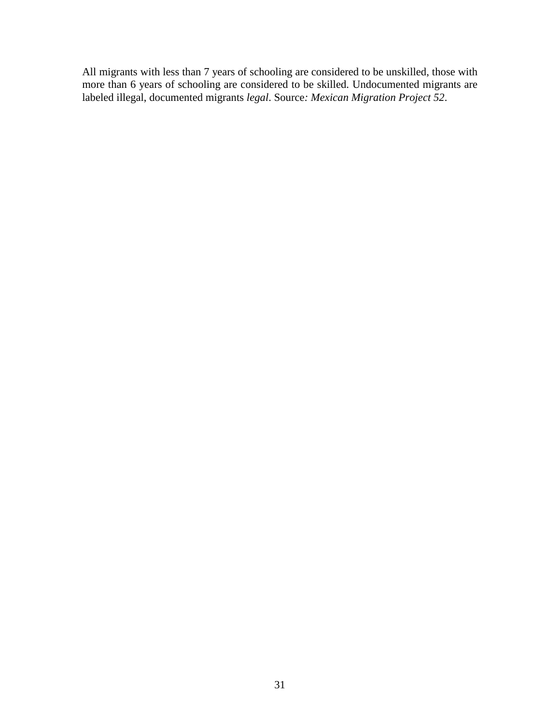All migrants with less than 7 years of schooling are considered to be unskilled, those with more than 6 years of schooling are considered to be skilled. Undocumented migrants are labeled illegal, documented migrants *legal*. Source*: Mexican Migration Project 52*.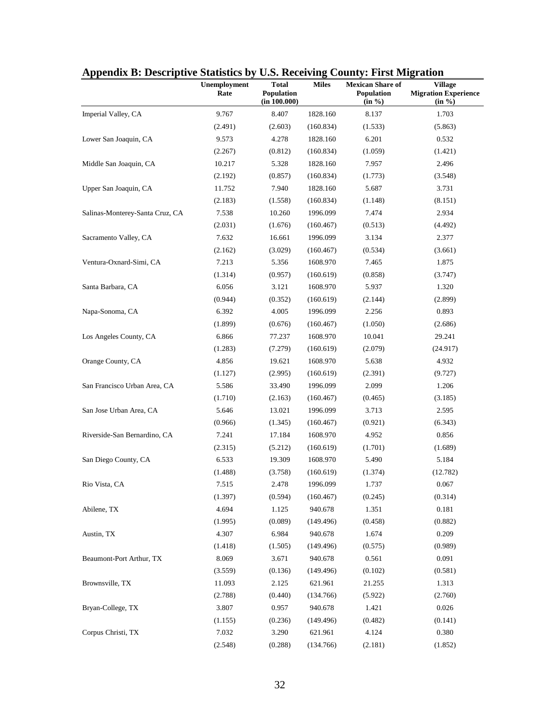| Appendix D. Descriptive Statistics by |                      |                                     |              | <b>U.S. Receiving County: FIFSt Migration</b>   |                                                  |  |  |
|---------------------------------------|----------------------|-------------------------------------|--------------|-------------------------------------------------|--------------------------------------------------|--|--|
|                                       | Unemployment<br>Rate | Total<br>Population<br>(in 100.000) | <b>Miles</b> | <b>Mexican Share of</b><br>Population<br>(in %) | Village<br><b>Migration Experience</b><br>(in %) |  |  |
| Imperial Valley, CA                   | 9.767                | 8.407                               | 1828.160     | 8.137                                           | 1.703                                            |  |  |
|                                       | (2.491)              | (2.603)                             | (160.834)    | (1.533)                                         | (5.863)                                          |  |  |
| Lower San Joaquin, CA                 | 9.573                | 4.278                               | 1828.160     | 6.201                                           | 0.532                                            |  |  |
|                                       | (2.267)              | (0.812)                             | (160.834)    | (1.059)                                         | (1.421)                                          |  |  |
| Middle San Joaquin, CA                | 10.217               | 5.328                               | 1828.160     | 7.957                                           | 2.496                                            |  |  |
|                                       | (2.192)              | (0.857)                             | (160.834)    | (1.773)                                         | (3.548)                                          |  |  |
| Upper San Joaquin, CA                 | 11.752               | 7.940                               | 1828.160     | 5.687                                           | 3.731                                            |  |  |
|                                       | (2.183)              | (1.558)                             | (160.834)    | (1.148)                                         | (8.151)                                          |  |  |
| Salinas-Monterey-Santa Cruz, CA       | 7.538                | 10.260                              | 1996.099     | 7.474                                           | 2.934                                            |  |  |
|                                       | (2.031)              | (1.676)                             | (160.467)    | (0.513)                                         | (4.492)                                          |  |  |
| Sacramento Valley, CA                 | 7.632                | 16.661                              | 1996.099     | 3.134                                           | 2.377                                            |  |  |
|                                       | (2.162)              | (3.029)                             | (160.467)    | (0.534)                                         | (3.661)                                          |  |  |
| Ventura-Oxnard-Simi, CA               | 7.213                | 5.356                               | 1608.970     | 7.465                                           | 1.875                                            |  |  |
|                                       | (1.314)              | (0.957)                             | (160.619)    | (0.858)                                         | (3.747)                                          |  |  |
| Santa Barbara, CA                     | 6.056                | 3.121                               | 1608.970     | 5.937                                           | 1.320                                            |  |  |
|                                       | (0.944)              | (0.352)                             | (160.619)    | (2.144)                                         | (2.899)                                          |  |  |
| Napa-Sonoma, CA                       | 6.392                | 4.005                               | 1996.099     | 2.256                                           | 0.893                                            |  |  |
|                                       | (1.899)              | (0.676)                             | (160.467)    | (1.050)                                         | (2.686)                                          |  |  |
| Los Angeles County, CA                | 6.866                | 77.237                              | 1608.970     | 10.041                                          | 29.241                                           |  |  |
|                                       | (1.283)              | (7.279)                             | (160.619)    | (2.079)                                         | (24.917)                                         |  |  |
| Orange County, CA                     | 4.856                | 19.621                              | 1608.970     | 5.638                                           | 4.932                                            |  |  |
|                                       | (1.127)              | (2.995)                             | (160.619)    | (2.391)                                         | (9.727)                                          |  |  |
| San Francisco Urban Area, CA          | 5.586                | 33.490                              | 1996.099     | 2.099                                           | 1.206                                            |  |  |
|                                       | (1.710)              | (2.163)                             | (160.467)    | (0.465)                                         | (3.185)                                          |  |  |
| San Jose Urban Area, CA               | 5.646                | 13.021                              | 1996.099     | 3.713                                           | 2.595                                            |  |  |
|                                       | (0.966)              | (1.345)                             | (160.467)    | (0.921)                                         | (6.343)                                          |  |  |
| Riverside-San Bernardino, CA          | 7.241                | 17.184                              | 1608.970     | 4.952                                           | 0.856                                            |  |  |
|                                       | (2.315)              | (5.212)                             | (160.619)    | (1.701)                                         | (1.689)                                          |  |  |
| San Diego County, CA                  | 6.533                | 19.309                              | 1608.970     | 5.490                                           | 5.184                                            |  |  |
|                                       | (1.488)              | (3.758)                             | (160.619)    | (1.374)                                         | (12.782)                                         |  |  |
| Rio Vista, CA                         | 7.515                | 2.478                               | 1996.099     | 1.737                                           | 0.067                                            |  |  |
|                                       | (1.397)              | (0.594)                             | (160.467)    | (0.245)                                         | (0.314)                                          |  |  |
| Abilene, TX                           | 4.694                | 1.125                               | 940.678      | 1.351                                           | 0.181                                            |  |  |
|                                       | (1.995)              | (0.089)                             | (149.496)    | (0.458)                                         | (0.882)                                          |  |  |
| Austin, TX                            | 4.307                | 6.984                               | 940.678      | 1.674                                           | 0.209                                            |  |  |
|                                       | (1.418)              | (1.505)                             | (149.496)    | (0.575)                                         | (0.989)                                          |  |  |
| Beaumont-Port Arthur, TX              | 8.069                | 3.671                               | 940.678      | 0.561                                           | 0.091                                            |  |  |
|                                       | (3.559)              | (0.136)                             | (149.496)    | (0.102)                                         | (0.581)                                          |  |  |
| Brownsville, TX                       | 11.093               | 2.125                               | 621.961      | 21.255                                          | 1.313                                            |  |  |
|                                       | (2.788)              | (0.440)                             | (134.766)    | (5.922)                                         | (2.760)                                          |  |  |
| Bryan-College, TX                     | 3.807                | 0.957                               | 940.678      | 1.421                                           | 0.026                                            |  |  |
|                                       | (1.155)              | (0.236)                             | (149.496)    | (0.482)                                         | (0.141)                                          |  |  |
| Corpus Christi, TX                    | 7.032                | 3.290                               | 621.961      | 4.124                                           | 0.380                                            |  |  |
|                                       | (2.548)              | (0.288)                             | (134.766)    | (2.181)                                         | (1.852)                                          |  |  |

# **Appendix B: Descriptive Statistics by U.S. Receiving County: First Migration**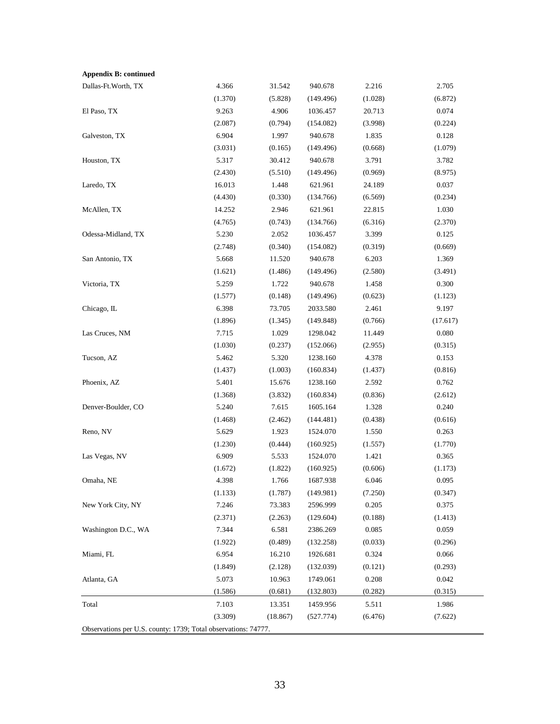| <b>Appendix B: continued</b>                                   |         |          |           |         |          |
|----------------------------------------------------------------|---------|----------|-----------|---------|----------|
| Dallas-Ft.Worth, TX                                            | 4.366   | 31.542   | 940.678   | 2.216   | 2.705    |
|                                                                | (1.370) | (5.828)  | (149.496) | (1.028) | (6.872)  |
| El Paso, TX                                                    | 9.263   | 4.906    | 1036.457  | 20.713  | 0.074    |
|                                                                | (2.087) | (0.794)  | (154.082) | (3.998) | (0.224)  |
| Galveston, TX                                                  | 6.904   | 1.997    | 940.678   | 1.835   | 0.128    |
|                                                                | (3.031) | (0.165)  | (149.496) | (0.668) | (1.079)  |
| Houston, TX                                                    | 5.317   | 30.412   | 940.678   | 3.791   | 3.782    |
|                                                                | (2.430) | (5.510)  | (149.496) | (0.969) | (8.975)  |
| Laredo, TX                                                     | 16.013  | 1.448    | 621.961   | 24.189  | 0.037    |
|                                                                | (4.430) | (0.330)  | (134.766) | (6.569) | (0.234)  |
| McAllen, TX                                                    | 14.252  | 2.946    | 621.961   | 22.815  | 1.030    |
|                                                                | (4.765) | (0.743)  | (134.766) | (6.316) | (2.370)  |
| Odessa-Midland, TX                                             | 5.230   | 2.052    | 1036.457  | 3.399   | 0.125    |
|                                                                | (2.748) | (0.340)  | (154.082) | (0.319) | (0.669)  |
| San Antonio, TX                                                | 5.668   | 11.520   | 940.678   | 6.203   | 1.369    |
|                                                                | (1.621) | (1.486)  | (149.496) | (2.580) | (3.491)  |
| Victoria, TX                                                   | 5.259   | 1.722    | 940.678   | 1.458   | 0.300    |
|                                                                | (1.577) | (0.148)  | (149.496) | (0.623) | (1.123)  |
| Chicago, IL                                                    | 6.398   | 73.705   | 2033.580  | 2.461   | 9.197    |
|                                                                | (1.896) | (1.345)  | (149.848) | (0.766) | (17.617) |
| Las Cruces, NM                                                 | 7.715   | 1.029    | 1298.042  | 11.449  | 0.080    |
|                                                                | (1.030) | (0.237)  | (152.066) | (2.955) | (0.315)  |
| Tucson, AZ                                                     | 5.462   | 5.320    | 1238.160  | 4.378   | 0.153    |
|                                                                | (1.437) | (1.003)  | (160.834) | (1.437) | (0.816)  |
| Phoenix, AZ                                                    | 5.401   | 15.676   | 1238.160  | 2.592   | 0.762    |
|                                                                | (1.368) | (3.832)  | (160.834) | (0.836) | (2.612)  |
| Denver-Boulder, CO                                             | 5.240   | 7.615    | 1605.164  | 1.328   | 0.240    |
|                                                                | (1.468) | (2.462)  | (144.481) | (0.438) | (0.616)  |
| Reno, NV                                                       | 5.629   | 1.923    | 1524.070  | 1.550   | 0.263    |
|                                                                | (1.230) | (0.444)  | (160.925) | (1.557) | (1.770)  |
| Las Vegas, NV                                                  | 6.909   | 5.533    | 1524.070  | 1.421   | 0.365    |
|                                                                | (1.672) | (1.822)  | (160.925) | (0.606) | (1.173)  |
| Omaha, NE                                                      | 4.398   | 1.766    | 1687.938  | 6.046   | 0.095    |
|                                                                | (1.133) | (1.787)  | (149.981) | (7.250) | (0.347)  |
| New York City, NY                                              | 7.246   | 73.383   | 2596.999  | 0.205   | 0.375    |
|                                                                | (2.371) | (2.263)  | (129.604) | (0.188) | (1.413)  |
| Washington D.C., WA                                            | 7.344   | 6.581    | 2386.269  | 0.085   | 0.059    |
|                                                                | (1.922) | (0.489)  | (132.258) | (0.033) | (0.296)  |
| Miami, FL                                                      | 6.954   | 16.210   | 1926.681  | 0.324   | 0.066    |
|                                                                | (1.849) | (2.128)  | (132.039) | (0.121) | (0.293)  |
| Atlanta, GA                                                    | 5.073   | 10.963   | 1749.061  | 0.208   | 0.042    |
|                                                                | (1.586) | (0.681)  | (132.803) | (0.282) | (0.315)  |
| Total                                                          | 7.103   | 13.351   | 1459.956  | 5.511   | 1.986    |
|                                                                | (3.309) | (18.867) | (527.774) | (6.476) | (7.622)  |
| Observations per U.S. county: 1739; Total observations: 74777. |         |          |           |         |          |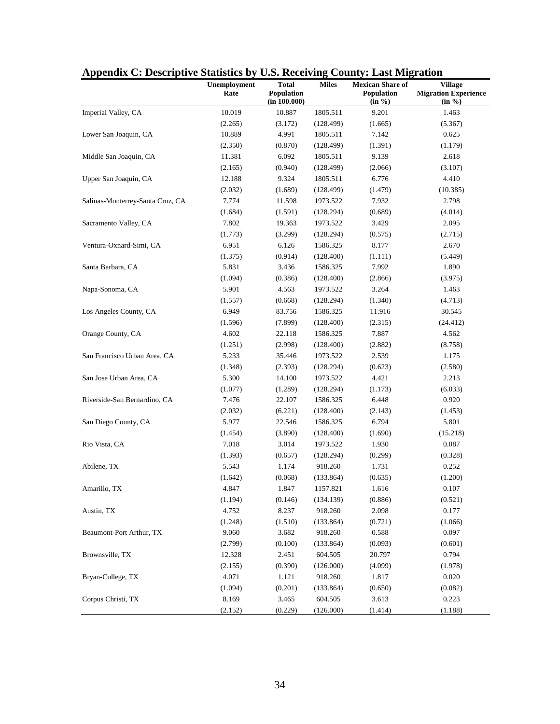|                                  | Unemployment | <b>Total</b> | <b>Miles</b> | <b>Mexican Share of</b> | <b>Village</b>              |
|----------------------------------|--------------|--------------|--------------|-------------------------|-----------------------------|
|                                  | Rate         | Population   |              | Population              | <b>Migration Experience</b> |
|                                  |              | (in 100.000) |              | (in %)                  | (in %)                      |
| Imperial Valley, CA              | 10.019       | 10.887       | 1805.511     | 9.201                   | 1.463                       |
|                                  | (2.265)      | (3.172)      | (128.499)    | (1.665)                 | (5.367)                     |
| Lower San Joaquin, CA            | 10.889       | 4.991        | 1805.511     | 7.142                   | 0.625                       |
|                                  | (2.350)      | (0.870)      | (128.499)    | (1.391)                 | (1.179)                     |
| Middle San Joaquin, CA           | 11.381       | 6.092        | 1805.511     | 9.139                   | 2.618                       |
|                                  | (2.165)      | (0.940)      | (128.499)    | (2.066)                 | (3.107)                     |
| Upper San Joaquin, CA            | 12.188       | 9.324        | 1805.511     | 6.776                   | 4.410                       |
|                                  | (2.032)      | (1.689)      | (128.499)    | (1.479)                 | (10.385)                    |
| Salinas-Monterrey-Santa Cruz, CA | 7.774        | 11.598       | 1973.522     | 7.932                   | 2.798                       |
|                                  | (1.684)      | (1.591)      | (128.294)    | (0.689)                 | (4.014)                     |
| Sacramento Valley, CA            | 7.802        | 19.363       | 1973.522     | 3.429                   | 2.095                       |
|                                  | (1.773)      | (3.299)      | (128.294)    | (0.575)                 | (2.715)                     |
| Ventura-Oxnard-Simi, CA          | 6.951        | 6.126        | 1586.325     | 8.177                   | 2.670                       |
|                                  | (1.375)      | (0.914)      | (128.400)    | (1.111)                 | (5.449)                     |
| Santa Barbara, CA                | 5.831        | 3.436        | 1586.325     | 7.992                   | 1.890                       |
|                                  | (1.094)      | (0.386)      | (128.400)    | (2.866)                 | (3.975)                     |
| Napa-Sonoma, CA                  | 5.901        | 4.563        | 1973.522     | 3.264                   | 1.463                       |
|                                  | (1.557)      | (0.668)      | (128.294)    | (1.340)                 | (4.713)                     |
| Los Angeles County, CA           | 6.949        | 83.756       | 1586.325     | 11.916                  | 30.545                      |
|                                  | (1.596)      | (7.899)      | (128.400)    | (2.315)                 | (24.412)                    |
| Orange County, CA                | 4.602        | 22.118       | 1586.325     | 7.887                   | 4.562                       |
|                                  | (1.251)      | (2.998)      | (128.400)    | (2.882)                 | (8.758)                     |
| San Francisco Urban Area, CA     | 5.233        | 35.446       | 1973.522     | 2.539                   | 1.175                       |
|                                  | (1.348)      | (2.393)      | (128.294)    | (0.623)                 | (2.580)                     |
| San Jose Urban Area, CA          | 5.300        | 14.100       | 1973.522     | 4.421                   | 2.213                       |
|                                  | (1.077)      | (1.289)      | (128.294)    | (1.173)                 | (6.033)                     |
| Riverside-San Bernardino, CA     | 7.476        | 22.107       | 1586.325     | 6.448                   | 0.920                       |
|                                  | (2.032)      | (6.221)      | (128.400)    | (2.143)                 | (1.453)                     |
| San Diego County, CA             | 5.977        | 22.546       | 1586.325     | 6.794                   | 5.801                       |
|                                  | (1.454)      | (3.890)      | (128.400)    | (1.690)                 | (15.218)                    |
| Rio Vista, CA                    | 7.018        | 3.014        | 1973.522     | 1.930                   | 0.087                       |
|                                  | (1.393)      | (0.657)      | (128.294)    | (0.299)                 | (0.328)                     |
| Abilene, TX                      | 5.543        | 1.174        | 918.260      | 1.731                   | 0.252                       |
|                                  | (1.642)      | (0.068)      | (133.864)    | (0.635)                 | (1.200)                     |
| Amarillo, TX                     | 4.847        | 1.847        | 1157.821     | 1.616                   | 0.107                       |
|                                  | (1.194)      | (0.146)      | (134.139)    | (0.886)                 | (0.521)                     |
| Austin, TX                       | 4.752        | 8.237        | 918.260      | 2.098                   | 0.177                       |
|                                  | (1.248)      | (1.510)      | (133.864)    | (0.721)                 | (1.066)                     |
| Beaumont-Port Arthur, TX         | 9.060        | 3.682        | 918.260      | 0.588                   | 0.097                       |
|                                  | (2.799)      | (0.100)      | (133.864)    | (0.093)                 | (0.601)                     |
| Brownsville, TX                  | 12.328       | 2.451        | 604.505      | 20.797                  | 0.794                       |
|                                  | (2.155)      | (0.390)      | (126.000)    | (4.099)                 | (1.978)                     |
| Bryan-College, TX                | 4.071        | 1.121        | 918.260      | 1.817                   | 0.020                       |
|                                  | (1.094)      | (0.201)      | (133.864)    | (0.650)                 | (0.082)                     |
| Corpus Christi, TX               | 8.169        | 3.465        | 604.505      | 3.613                   | 0.223                       |
|                                  | (2.152)      | (0.229)      | (126.000)    | (1.414)                 | (1.188)                     |

# **Appendix C: Descriptive Statistics by U.S. Receiving County: Last Migration**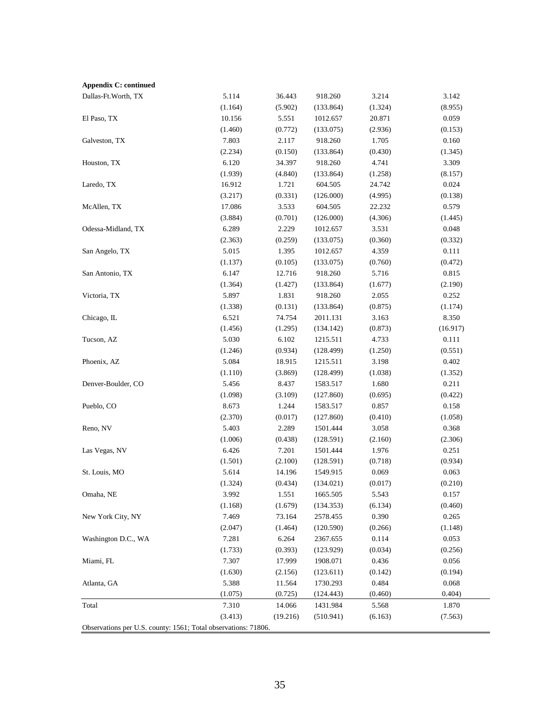| <b>Appendix C: continued</b>                                   |         |          |           |         |          |
|----------------------------------------------------------------|---------|----------|-----------|---------|----------|
| Dallas-Ft.Worth, TX                                            | 5.114   | 36.443   | 918.260   | 3.214   | 3.142    |
|                                                                | (1.164) | (5.902)  | (133.864) | (1.324) | (8.955)  |
| El Paso, TX                                                    | 10.156  | 5.551    | 1012.657  | 20.871  | 0.059    |
|                                                                | (1.460) | (0.772)  | (133.075) | (2.936) | (0.153)  |
| Galveston, TX                                                  | 7.803   | 2.117    | 918.260   | 1.705   | 0.160    |
|                                                                | (2.234) | (0.150)  | (133.864) | (0.430) | (1.345)  |
| Houston, TX                                                    | 6.120   | 34.397   | 918.260   | 4.741   | 3.309    |
|                                                                | (1.939) | (4.840)  | (133.864) | (1.258) | (8.157)  |
| Laredo, TX                                                     | 16.912  | 1.721    | 604.505   | 24.742  | 0.024    |
|                                                                | (3.217) | (0.331)  | (126.000) | (4.995) | (0.138)  |
| McAllen, TX                                                    | 17.086  | 3.533    | 604.505   | 22.232  | 0.579    |
|                                                                | (3.884) | (0.701)  | (126.000) | (4.306) | (1.445)  |
| Odessa-Midland, TX                                             | 6.289   | 2.229    | 1012.657  | 3.531   | 0.048    |
|                                                                | (2.363) | (0.259)  | (133.075) | (0.360) | (0.332)  |
| San Angelo, TX                                                 | 5.015   | 1.395    | 1012.657  | 4.359   | 0.111    |
|                                                                | (1.137) | (0.105)  | (133.075) | (0.760) | (0.472)  |
| San Antonio, TX                                                | 6.147   | 12.716   | 918.260   | 5.716   | 0.815    |
|                                                                | (1.364) | (1.427)  | (133.864) | (1.677) | (2.190)  |
| Victoria, TX                                                   | 5.897   | 1.831    | 918.260   | 2.055   | 0.252    |
|                                                                | (1.338) | (0.131)  | (133.864) | (0.875) | (1.174)  |
| Chicago, IL                                                    | 6.521   | 74.754   | 2011.131  | 3.163   | 8.350    |
|                                                                | (1.456) | (1.295)  | (134.142) | (0.873) | (16.917) |
| Tucson, AZ                                                     | 5.030   | 6.102    | 1215.511  | 4.733   | 0.111    |
|                                                                | (1.246) | (0.934)  | (128.499) | (1.250) | (0.551)  |
| Phoenix, AZ                                                    | 5.084   | 18.915   | 1215.511  | 3.198   | 0.402    |
|                                                                | (1.110) | (3.869)  | (128.499) | (1.038) | (1.352)  |
| Denver-Boulder, CO                                             | 5.456   | 8.437    | 1583.517  | 1.680   | 0.211    |
|                                                                | (1.098) | (3.109)  | (127.860) | (0.695) | (0.422)  |
| Pueblo, CO                                                     | 8.673   | 1.244    | 1583.517  | 0.857   | 0.158    |
|                                                                | (2.370) | (0.017)  | (127.860) | (0.410) | (1.058)  |
| Reno, NV                                                       | 5.403   | 2.289    | 1501.444  | 3.058   | 0.368    |
|                                                                | (1.006) | (0.438)  | (128.591) | (2.160) | (2.306)  |
| Las Vegas, NV                                                  | 6.426   | 7.201    | 1501.444  | 1.976   | 0.251    |
|                                                                | (1.501) | (2.100)  | (128.591) | (0.718) | (0.934)  |
| St. Louis, MO                                                  | 5.614   | 14.196   | 1549.915  | 0.069   | 0.063    |
|                                                                | (1.324) | (0.434)  | (134.021) | (0.017) | (0.210)  |
| Omaha, NE                                                      | 3.992   | 1.551    | 1665.505  | 5.543   | 0.157    |
|                                                                | (1.168) | (1.679)  | (134.353) | (6.134) | (0.460)  |
| New York City, NY                                              | 7.469   | 73.164   | 2578.455  | 0.390   | 0.265    |
|                                                                | (2.047) | (1.464)  | (120.590) | (0.266) | (1.148)  |
| Washington D.C., WA                                            | 7.281   | 6.264    | 2367.655  | 0.114   | 0.053    |
|                                                                | (1.733) | (0.393)  | (123.929) | (0.034) | (0.256)  |
| Miami, FL                                                      | 7.307   | 17.999   | 1908.071  | 0.436   | 0.056    |
|                                                                | (1.630) | (2.156)  | (123.611) | (0.142) | (0.194)  |
| Atlanta, GA                                                    | 5.388   | 11.564   | 1730.293  | 0.484   | 0.068    |
|                                                                | (1.075) | (0.725)  | (124.443) | (0.460) | 0.404)   |
| Total                                                          | 7.310   | 14.066   | 1431.984  | 5.568   | 1.870    |
|                                                                | (3.413) | (19.216) | (510.941) | (6.163) | (7.563)  |
| Observations per U.S. county: 1561; Total observations: 71806. |         |          |           |         |          |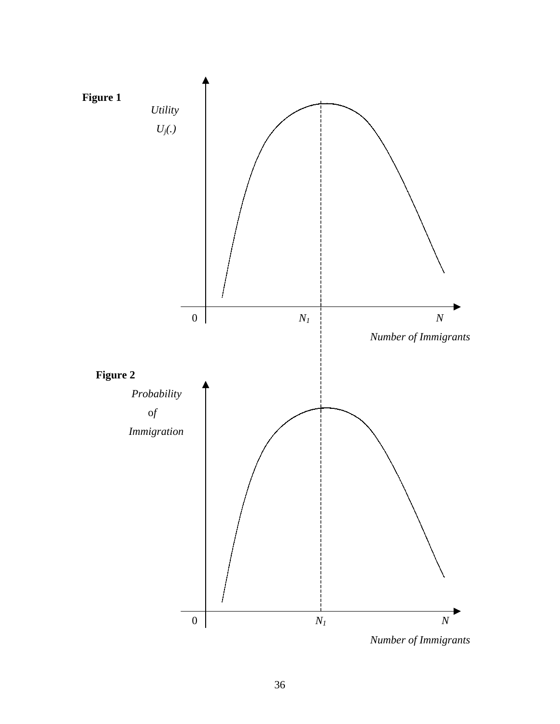

 *Number of Immigrants*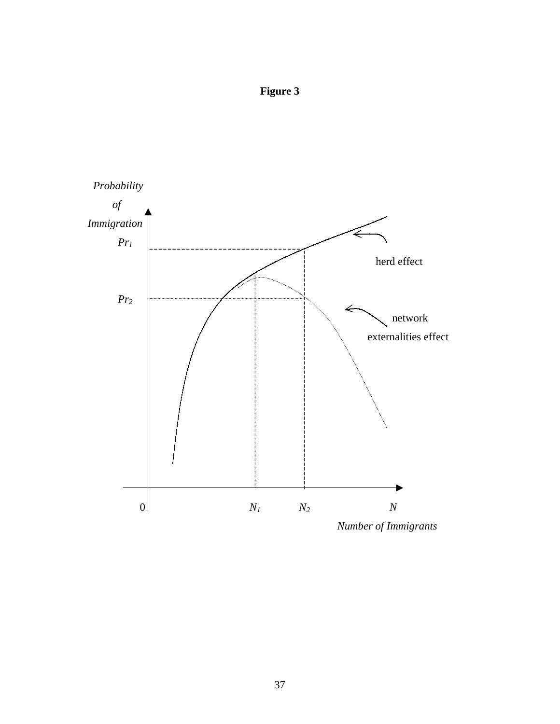**Figure 3** 



 *Number of Immigrants*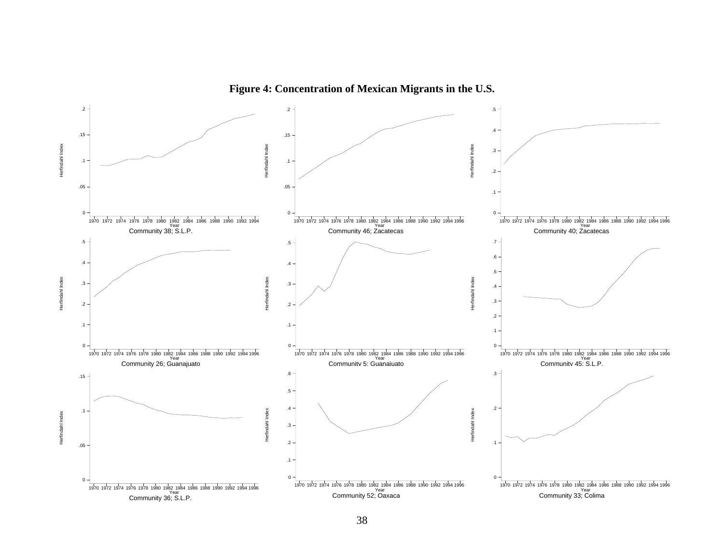

**Figure 4: Concentration of Mexican Migrants in the U.S.**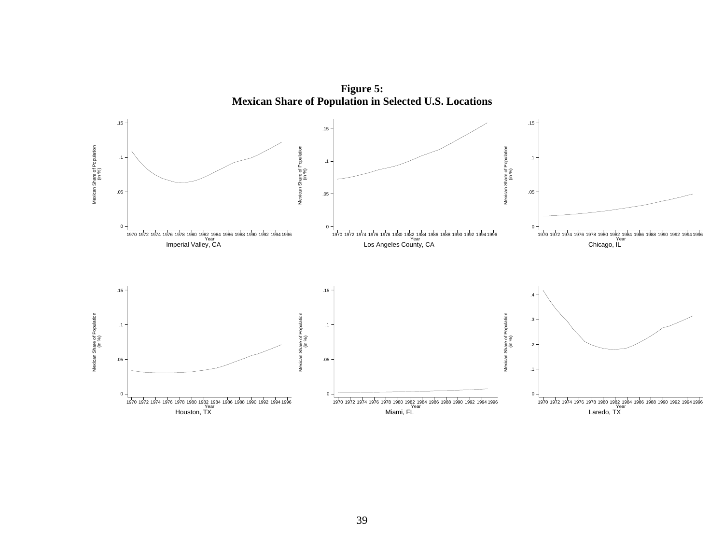

**Figure 5: Mexican Share of Population in Selected U.S. Locations**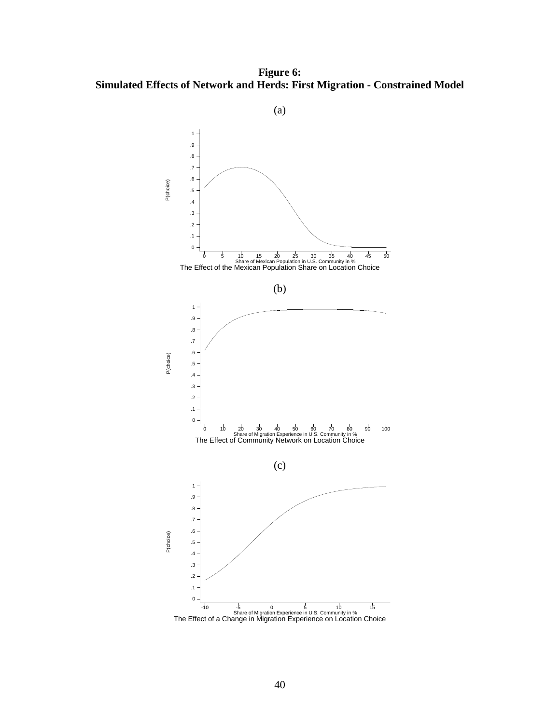**Figure 6: Simulated Effects of Network and Herds: First Migration - Constrained Model**